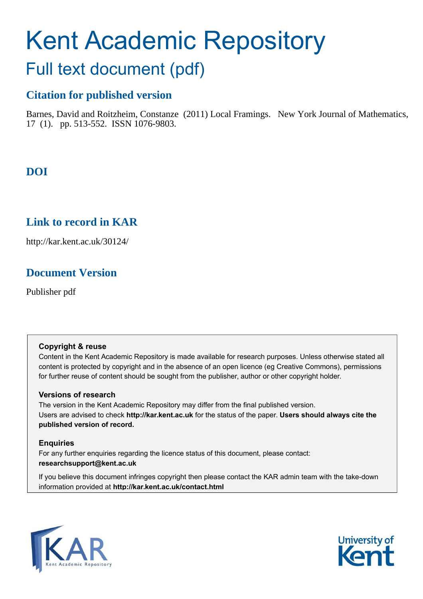# Kent Academic Repository

## Full text document (pdf)

## **Citation for published version**

Barnes, David and Roitzheim, Constanze (2011) Local Framings. New York Journal of Mathematics, 17 (1). pp. 513-552. ISSN 1076-9803.

## **DOI**

## **Link to record in KAR**

http://kar.kent.ac.uk/30124/

## **Document Version**

Publisher pdf

#### **Copyright & reuse**

Content in the Kent Academic Repository is made available for research purposes. Unless otherwise stated all content is protected by copyright and in the absence of an open licence (eg Creative Commons), permissions for further reuse of content should be sought from the publisher, author or other copyright holder.

#### **Versions of research**

The version in the Kent Academic Repository may differ from the final published version. Users are advised to check **http://kar.kent.ac.uk** for the status of the paper. **Users should always cite the published version of record.**

#### **Enquiries**

For any further enquiries regarding the licence status of this document, please contact: **researchsupport@kent.ac.uk**

If you believe this document infringes copyright then please contact the KAR admin team with the take-down information provided at **http://kar.kent.ac.uk/contact.html**



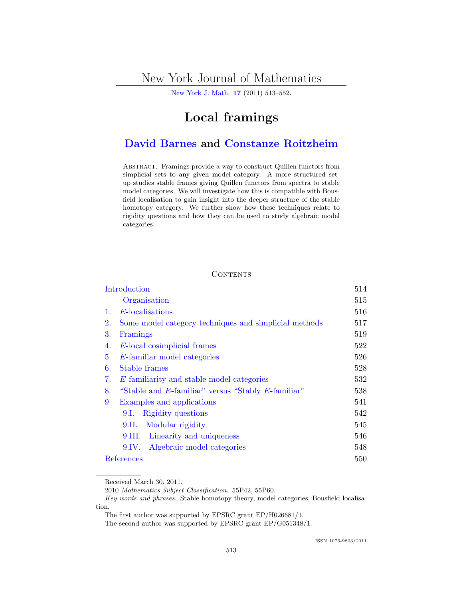## New York Journal of Mathematics

[New York J. Math.](http://nyjm.albany.edu/nyjm.html) [17](http://nyjm.albany.edu/j/2011/Vol17.htm) (2011) 513–552.

## Local framings

### [David Barnes](#page-39-0) and [Constanze Roitzheim](#page-39-0)

Abstract. Framings provide a way to construct Quillen functors from simplicial sets to any given model category. A more structured setup studies stable frames giving Quillen functors from spectra to stable model categories. We will investigate how this is compatible with Bousfield localisation to gain insight into the deeper structure of the stable homotopy category. We further show how these techniques relate to rigidity questions and how they can be used to study algebraic model categories.

#### **CONTENTS**

| Introduction |                                                       |     |  |  |  |  |  |
|--------------|-------------------------------------------------------|-----|--|--|--|--|--|
|              | Organisation                                          | 515 |  |  |  |  |  |
| 1.           | E-localisations                                       | 516 |  |  |  |  |  |
| 2.           | Some model category techniques and simplicial methods |     |  |  |  |  |  |
| 3.           | Framings                                              | 519 |  |  |  |  |  |
| 4.           | E-local cosimplicial frames                           |     |  |  |  |  |  |
| 5.           | E-familiar model categories                           | 526 |  |  |  |  |  |
| 6.           | Stable frames                                         |     |  |  |  |  |  |
| 7.           | E-familiarity and stable model categories             |     |  |  |  |  |  |
| 8.           | "Stable and E-familiar" versus "Stably E-familiar"    |     |  |  |  |  |  |
| 9.           | Examples and applications                             | 541 |  |  |  |  |  |
|              | Rigidity questions<br>9.1.                            | 542 |  |  |  |  |  |
|              | Modular rigidity<br>9.II.                             | 545 |  |  |  |  |  |
|              | Linearity and uniqueness<br>9.III.                    | 546 |  |  |  |  |  |
|              | Algebraic model categories<br>9.IV.                   | 548 |  |  |  |  |  |
| References   |                                                       |     |  |  |  |  |  |

#### Received March 30, 2011.

<sup>2010</sup> Mathematics Subject Classification. 55P42, 55P60.

Key words and phrases. Stable homotopy theory, model categories, Bousfield localisation.

The first author was supported by EPSRC grant EP/H026681/1.

The second author was supported by EPSRC grant EP/G051348/1.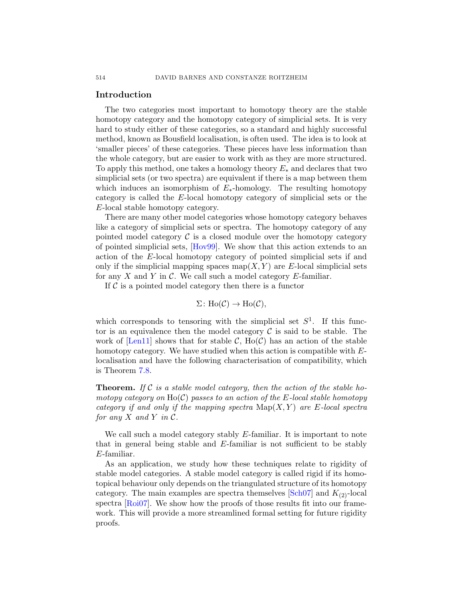#### Introduction

The two categories most important to homotopy theory are the stable homotopy category and the homotopy category of simplicial sets. It is very hard to study either of these categories, so a standard and highly successful method, known as Bousfield localisation, is often used. The idea is to look at 'smaller pieces' of these categories. These pieces have less information than the whole category, but are easier to work with as they are more structured. To apply this method, one takes a homology theory  $E_*$  and declares that two simplicial sets (or two spectra) are equivalent if there is a map between them which induces an isomorphism of  $E_*$ -homology. The resulting homotopy category is called the E-local homotopy category of simplicial sets or the E-local stable homotopy category.

There are many other model categories whose homotopy category behaves like a category of simplicial sets or spectra. The homotopy category of any pointed model category  $\mathcal C$  is a closed module over the homotopy category of pointed simplicial sets, [\[Hov99\]](#page-38-0). We show that this action extends to an action of the E-local homotopy category of pointed simplicial sets if and only if the simplicial mapping spaces map( $X, Y$ ) are E-local simplicial sets for any  $X$  and  $Y$  in  $\mathcal C$ . We call such a model category  $E$ -familiar.

If  $\mathcal C$  is a pointed model category then there is a functor

$$
\Sigma\colon \text{Ho}(\mathcal{C}) \to \text{Ho}(\mathcal{C}),
$$

which corresponds to tensoring with the simplicial set  $S^1$ . If this functor is an equivalence then the model category  $\mathcal C$  is said to be stable. The work of [\[Len11\]](#page-38-0) shows that for stable  $\mathcal{C}$ , Ho( $\mathcal{C}$ ) has an action of the stable homotopy category. We have studied when this action is compatible with Elocalisation and have the following characterisation of compatibility, which is Theorem [7.8.](#page-23-0)

Theorem. *If* C *is a stable model category, then the action of the stable homotopy category on* Ho(C) *passes to an action of the* E*-local stable homotopy category if and only if the mapping spectra*  $\text{Map}(X, Y)$  *are* E-local spectra *for any*  $X$  *and*  $Y$  *in*  $C$ *.* 

We call such a model category stably  $E$ -familiar. It is important to note that in general being stable and E-familiar is not sufficient to be stably E-familiar.

As an application, we study how these techniques relate to rigidity of stable model categories. A stable model category is called rigid if its homotopical behaviour only depends on the triangulated structure of its homotopy category. The main examples are spectra themselves  $[\text{Sch}07]$  and  $K_{(2)}$ -local spectra [\[Roi07\]](#page-38-0). We show how the proofs of those results fit into our framework. This will provide a more streamlined formal setting for future rigidity proofs.

<span id="page-2-0"></span>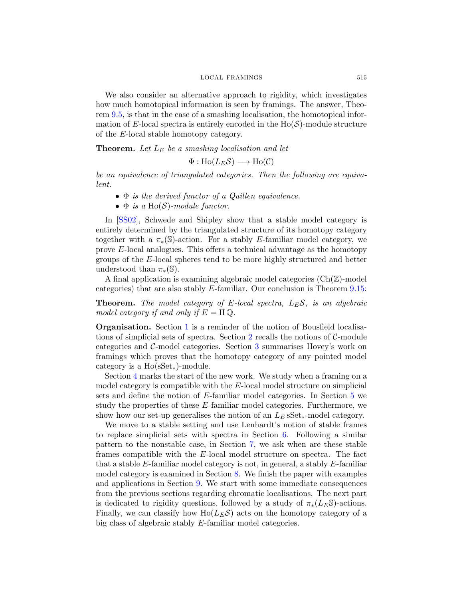<span id="page-3-0"></span>We also consider an alternative approach to rigidity, which investigates how much homotopical information is seen by framings. The answer, Theorem [9.5,](#page-32-0) is that in the case of a smashing localisation, the homotopical information of E-local spectra is entirely encoded in the  $Ho(S)$ -module structure of the E-local stable homotopy category.

Theorem. *Let* L<sup>E</sup> *be a smashing localisation and let*

$$
\Phi: \text{Ho}(L_E \mathcal{S}) \longrightarrow \text{Ho}(\mathcal{C})
$$

*be an equivalence of triangulated categories. Then the following are equivalent.*

- Φ *is the derived functor of a Quillen equivalence.*
- Φ *is a* Ho(S)*-module functor.*

In [\[SS02\]](#page-39-0), Schwede and Shipley show that a stable model category is entirely determined by the triangulated structure of its homotopy category together with a  $\pi_*(\mathbb{S})$ -action. For a stably E-familiar model category, we prove E-local analogues. This offers a technical advantage as the homotopy groups of the E-local spheres tend to be more highly structured and better understood than  $\pi_*(\mathbb{S})$ .

A final application is examining algebraic model categories  $(Ch(\mathbb{Z})\text{-model})$ categories) that are also stably E-familiar. Our conclusion is Theorem [9.15:](#page-36-0)

Theorem. *The model category of* E*-local spectra,* LES*, is an algebraic model category if and only if*  $E = H \mathbb{Q}$ .

Organisation. Section 1 is a reminder of the notion of Bousfield localisa-tions of simplicial sets of spectra. Section [2](#page-4-0) recalls the notions of  $C$ -module categories and C-model categories. Section [3](#page-6-0) summarises Hovey's work on framings which proves that the homotopy category of any pointed model category is a  $Ho(sSet_{*})$ -module.

Section [4](#page-9-0) marks the start of the new work. We study when a framing on a model category is compatible with the E-local model structure on simplicial sets and define the notion of E-familiar model categories. In Section [5](#page-13-0) we study the properties of these E-familiar model categories. Furthermore, we show how our set-up generalises the notion of an  $L<sub>E</sub>$  sSet<sub>\*</sub>-model category.

We move to a stable setting and use Lenhardt's notion of stable frames to replace simplicial sets with spectra in Section [6.](#page-15-0) Following a similar pattern to the nonstable case, in Section [7,](#page-19-0) we ask when are these stable frames compatible with the E-local model structure on spectra. The fact that a stable E-familiar model category is not, in general, a stably E-familiar model category is examined in Section [8.](#page-25-0) We finish the paper with examples and applications in Section [9.](#page-28-0) We start with some immediate consequences from the previous sections regarding chromatic localisations. The next part is dedicated to rigidity questions, followed by a study of  $\pi_*(L_E\mathbb{S})$ -actions. Finally, we can classify how  $Ho(L<sub>E</sub>S)$  acts on the homotopy category of a big class of algebraic stably E-familiar model categories.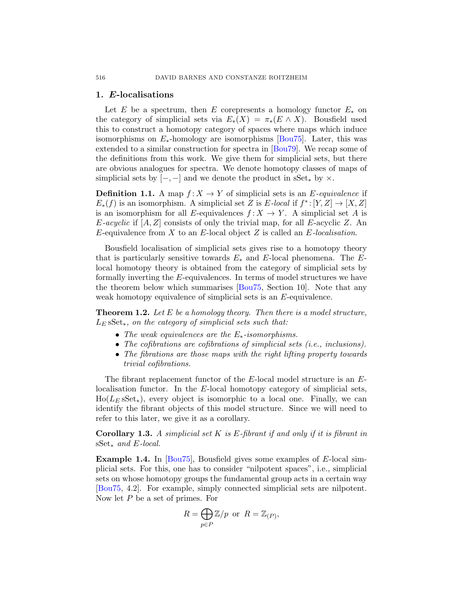#### 1. E-localisations

Let E be a spectrum, then E corepresents a homology functor  $E_*$  on the category of simplicial sets via  $E_*(X) = \pi_*(E \wedge X)$ . Bousfield used this to construct a homotopy category of spaces where maps which induce isomorphisms on  $E_*$ -homology are isomorphisms [\[Bou75\]](#page-37-0). Later, this was extended to a similar construction for spectra in [\[Bou79\]](#page-37-0). We recap some of the definitions from this work. We give them for simplicial sets, but there are obvious analogues for spectra. We denote homotopy classes of maps of simplicial sets by  $[-,-]$  and we denote the product in sSet $*$  by  $\times$ .

**Definition 1.1.** A map  $f: X \to Y$  of simplicial sets is an E-equivalence if  $E_*(f)$  is an isomorphism. A simplicial set Z is  $E$ -local if  $f^*:[Y,Z] \to [X,Z]$ is an isomorphism for all E-equivalences  $f: X \to Y$ . A simplicial set A is  $E\text{-}acyclic$  if  $[A, Z]$  consists of only the trivial map, for all  $E\text{-}acyclic$   $Z$ . An E-equivalence from X to an E-local object Z is called an E*-localisation*.

Bousfield localisation of simplicial sets gives rise to a homotopy theory that is particularly sensitive towards  $E_*$  and E-local phenomena. The Elocal homotopy theory is obtained from the category of simplicial sets by formally inverting the E-equivalences. In terms of model structures we have the theorem below which summarises [\[Bou75,](#page-37-0) Section 10]. Note that any weak homotopy equivalence of simplicial sets is an E-equivalence.

Theorem 1.2. *Let* E *be a homology theory. Then there is a model structure,* L<sup>E</sup> sSet∗*, on the category of simplicial sets such that:*

- *The weak equivalences are the* E∗*-isomorphisms.*
- *The cofibrations are cofibrations of simplicial sets (i.e., inclusions).*
- *The fibrations are those maps with the right lifting property towards trivial cofibrations.*

The fibrant replacement functor of the E-local model structure is an Elocalisation functor. In the E-local homotopy category of simplicial sets,  $Ho(L<sub>E</sub> sSet<sub>*</sub>)$ , every object is isomorphic to a local one. Finally, we can identify the fibrant objects of this model structure. Since we will need to refer to this later, we give it as a corollary.

Corollary 1.3. *A simplicial set* K *is* E*-fibrant if and only if it is fibrant in* sSet∗ *and* E*-local.*

**Example 1.4.** In  $[Bou75]$ , Bousfield gives some examples of E-local simplicial sets. For this, one has to consider "nilpotent spaces", i.e., simplicial sets on whose homotopy groups the fundamental group acts in a certain way [\[Bou75,](#page-37-0) 4.2]. For example, simply connected simplicial sets are nilpotent. Now let P be a set of primes. For

$$
R = \bigoplus_{p \in P} \mathbb{Z}/p \text{ or } R = \mathbb{Z}_{(P)},
$$

<span id="page-4-0"></span>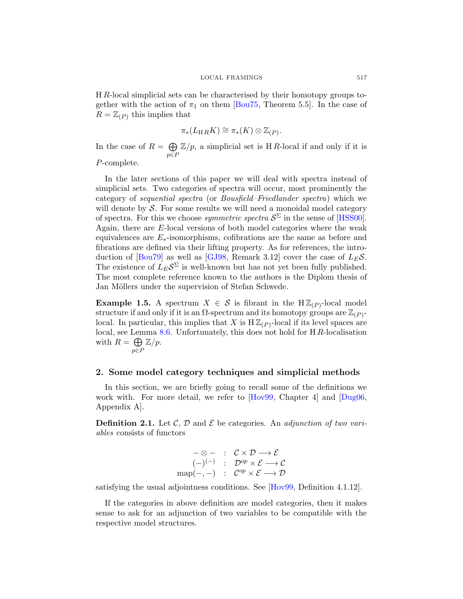<span id="page-5-0"></span>H R-local simplicial sets can be characterised by their homotopy groups together with the action of  $\pi_1$  on them [\[Bou75,](#page-37-0) Theorem 5.5]. In the case of  $R = \mathbb{Z}_{(P)}$  this implies that

$$
\pi_*(L_{\mathcal{H}\,R}K)\cong \pi_*(K)\otimes \mathbb{Z}_{(P)}.
$$

In the case of  $R = \bigoplus \mathbb{Z}/p$ , a simplicial set is HR-local if and only if it is  $p \in P$ P-complete.

In the later sections of this paper we will deal with spectra instead of simplicial sets. Two categories of spectra will occur, most prominently the category of *sequential spectra* (or *Bousfield–Friedlander spectra*) which we will denote by  $S$ . For some results we will need a monoidal model category of spectra. For this we choose *symmetric spectra*  $S^{\Sigma}$  in the sense of [\[HSS00\]](#page-38-0). Again, there are E-local versions of both model categories where the weak equivalences are  $E_*$ -isomorphisms, cofibrations are the same as before and fibrations are defined via their lifting property. As for references, the intro-duction of [\[Bou79\]](#page-37-0) as well as [\[GJ98,](#page-38-0) Remark 3.12] cover the case of  $L_E \mathcal{S}$ . The existence of  $L_E \mathcal{S}^{\Sigma}$  is well-known but has not yet been fully published. The most complete reference known to the authors is the Diplom thesis of Jan Möllers under the supervision of Stefan Schwede.

**Example 1.5.** A spectrum  $X \in \mathcal{S}$  is fibrant in the  $H\mathbb{Z}_{(P)}$ -local model structure if and only if it is an  $\Omega$ -spectrum and its homotopy groups are  $\mathbb{Z}_{(P)}$ local. In particular, this implies that X is  $H\mathbb{Z}_{(P)}$ -local if its level spaces are local, see Lemma [8.6.](#page-28-0) Unfortunately, this does not hold for H R-localisation with  $R = \bigoplus$ p∈P  $\mathbb{Z}/p$ .

#### 2. Some model category techniques and simplicial methods

In this section, we are briefly going to recall some of the definitions we work with. For more detail, we refer to [\[Hov99,](#page-38-0) Chapter 4] and [\[Dug06,](#page-37-0) Appendix A].

**Definition 2.1.** Let C, D and E be categories. An *adjunction of two variables* consists of functors

$$
\begin{array}{ccl} -\otimes - & : & \mathcal{C} \times \mathcal{D} \longrightarrow \mathcal{E} \\ & & (-)^{(-)} & : & \mathcal{D}^{op} \times \mathcal{E} \longrightarrow \mathcal{C} \\ \text{map}(-,-) & : & \mathcal{C}^{op} \times \mathcal{E} \longrightarrow \mathcal{D} \end{array}
$$

satisfying the usual adjointness conditions. See [\[Hov99,](#page-38-0) Definition 4.1.12].

If the categories in above definition are model categories, then it makes sense to ask for an adjunction of two variables to be compatible with the respective model structures.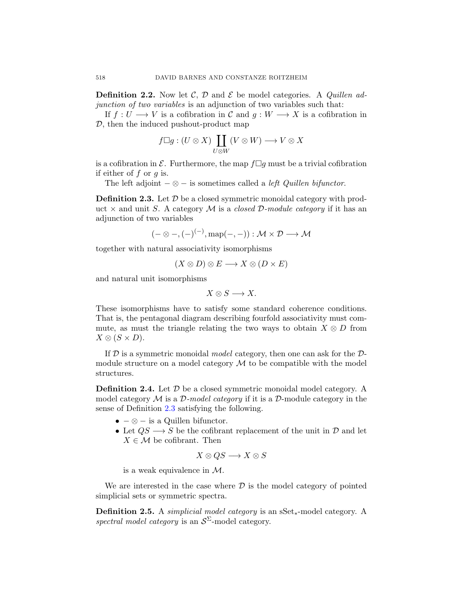<span id="page-6-0"></span>**Definition 2.2.** Now let C, D and E be model categories. A *Quillen adjunction of two variables* is an adjunction of two variables such that:

If  $f: U \longrightarrow V$  is a cofibration in C and  $g: W \longrightarrow X$  is a cofibration in D, then the induced pushout-product map

$$
f \Box g : (U \otimes X) \coprod_{U \otimes W} (V \otimes W) \longrightarrow V \otimes X
$$

is a cofibration in  $\mathcal E$ . Furthermore, the map  $f \Box g$  must be a trivial cofibration if either of  $f$  or  $q$  is.

The left adjoint  $-\otimes -$  is sometimes called a *left Quillen bifunctor*.

**Definition 2.3.** Let  $D$  be a closed symmetric monoidal category with product  $\times$  and unit S. A category M is a *closed D-module category* if it has an adjunction of two variables

$$
(-\otimes -, (-)^{(-)}, \mathrm{map}(-,-)) : \mathcal{M} \times \mathcal{D} \longrightarrow \mathcal{M}
$$

together with natural associativity isomorphisms

$$
(X \otimes D) \otimes E \longrightarrow X \otimes (D \times E)
$$

and natural unit isomorphisms

$$
X \otimes S \longrightarrow X.
$$

These isomorphisms have to satisfy some standard coherence conditions. That is, the pentagonal diagram describing fourfold associativity must commute, as must the triangle relating the two ways to obtain  $X \otimes D$  from  $X \otimes (S \times D).$ 

If D is a symmetric monoidal *model* category, then one can ask for the Dmodule structure on a model category  $\mathcal M$  to be compatible with the model structures.

**Definition 2.4.** Let  $\mathcal{D}$  be a closed symmetric monoidal model category. A model category M is a D*-model category* if it is a D-module category in the sense of Definition [2.3](#page-5-0) satisfying the following.

- $-\otimes$  is a Quillen bifunctor.
- Let  $QS \longrightarrow S$  be the cofibrant replacement of the unit in  $\mathcal D$  and let  $X \in \mathcal{M}$  be cofibrant. Then

$$
X\otimes QS\longrightarrow X\otimes S
$$

is a weak equivalence in M.

We are interested in the case where  $\mathcal D$  is the model category of pointed simplicial sets or symmetric spectra.

Definition 2.5. A *simplicial model category* is an sSet∗-model category. A spectral model category is an  $S^{\Sigma}$ -model category.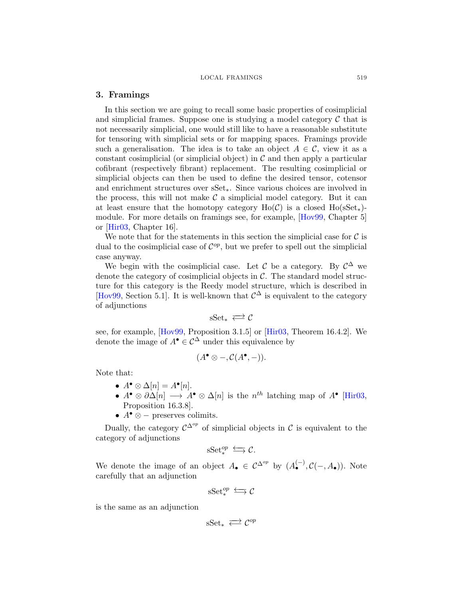#### <span id="page-7-0"></span>3. Framings

In this section we are going to recall some basic properties of cosimplicial and simplicial frames. Suppose one is studying a model category  $\mathcal C$  that is not necessarily simplicial, one would still like to have a reasonable substitute for tensoring with simplicial sets or for mapping spaces. Framings provide such a generalisation. The idea is to take an object  $A \in \mathcal{C}$ , view it as a constant cosimplicial (or simplicial object) in  $\mathcal C$  and then apply a particular cofibrant (respectively fibrant) replacement. The resulting cosimplicial or simplicial objects can then be used to define the desired tensor, cotensor and enrichment structures over sSet∗. Since various choices are involved in the process, this will not make  $\mathcal C$  a simplicial model category. But it can at least ensure that the homotopy category  $Ho(\mathcal{C})$  is a closed  $Ho(\mathrm{sSet}_{*)}$ module. For more details on framings see, for example, [\[Hov99,](#page-38-0) Chapter 5] or [\[Hir03,](#page-38-0) Chapter 16].

We note that for the statements in this section the simplicial case for  $\mathcal C$  is dual to the cosimplicial case of  $\mathcal{C}^{op}$ , but we prefer to spell out the simplicial case anyway.

We begin with the cosimplicial case. Let C be a category. By  $\mathcal{C}^{\Delta}$  we denote the category of cosimplicial objects in  $\mathcal{C}$ . The standard model structure for this category is the Reedy model structure, which is described in [\[Hov99,](#page-38-0) Section 5.1]. It is well-known that  $\mathcal{C}^{\Delta}$  is equivalent to the category of adjunctions

$$
sSet_* \iff \mathcal{C}
$$

see, for example, [\[Hov99,](#page-38-0) Proposition 3.1.5] or [\[Hir03,](#page-38-0) Theorem 16.4.2]. We denote the image of  $A^{\bullet} \in \mathcal{C}^{\Delta}$  under this equivalence by

$$
(A^{\bullet} \otimes -, \mathcal{C}(A^{\bullet}, -)).
$$

Note that:

- $A^{\bullet} \otimes \Delta[n] = A^{\bullet}[n].$
- $A^{\bullet} \otimes \partial \Delta[n] \longrightarrow A^{\bullet} \otimes \Delta[n]$  is the  $n^{th}$  latching map of  $A^{\bullet}$  [\[Hir03,](#page-38-0) Proposition 16.3.8].
- $A^{\bullet} \otimes -$  preserves colimits.

Dually, the category  $\mathcal{C}^{\Delta^{op}}$  of simplicial objects in C is equivalent to the category of adjunctions

$$
\mathrm{sSet}^{op}_* \stackrel{\longleftarrow}{\longrightarrow} \mathcal{C}.
$$

We denote the image of an object  $A_{\bullet} \in C^{\Delta^{op}}$  by  $(A_{\bullet}^{(-)}, \mathcal{C}(-, A_{\bullet}))$ . Note carefully that an adjunction

$$
\mathrm{sSet}^{op}_* \stackrel{\longleftarrow}{\longrightarrow} \mathcal{C}
$$

is the same as an adjunction

$$
\mathrm{sSet}_*\,\rightleftarrows\mathcal{C}^{op}
$$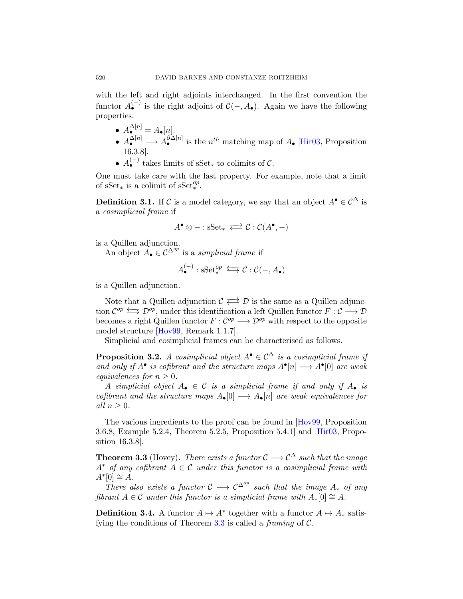with the left and right adjoints interchanged. In the first convention the functor  $A_{\bullet}^{(-)}$  is the right adjoint of  $\mathcal{C}(-, A_{\bullet})$ . Again we have the following properties.

- $A^{\Delta[n]}_{\bullet}=A_{\bullet}[n].$
- $A_{\bullet}^{\Delta[n]} \longrightarrow A_{\bullet}^{\partial \Delta[n]}$  is the  $n^{th}$  matching map of  $A_{\bullet}$  [\[Hir03,](#page-38-0) Proposition 16.3.8].
- $A_{\bullet}^{(-)}$  takes limits of sSet<sub>\*</sub> to colimits of C.

One must take care with the last property. For example, note that a limit of  $sSet_*$  is a colimit of  $sSet_*^{op}$ .

**Definition 3.1.** If C is a model category, we say that an object  $A^{\bullet} \in C^{\Delta}$  is a *cosimplicial frame* if

$$
A^{\bullet} \otimes - : \mathrm{sSet}_* \iff \mathcal{C} : \mathcal{C}(A^{\bullet}, -)
$$

is a Quillen adjunction.

An object  $A_{\bullet} \in C^{\Delta^{op}}$  is a *simplicial frame* if

$$
A_{\bullet}^{(-)}: \mathrm{sSet}_{*}^{op} \iff \mathcal{C}: \mathcal{C}(-, A_{\bullet})
$$

is a Quillen adjunction.

Note that a Quillen adjunction  $\mathcal{C} \rightleftarrows \mathcal{D}$  is the same as a Quillen adjunction  $\mathcal{C}^{op} \longrightarrow \mathcal{D}^{op}$ , under this identification a left Quillen functor  $F: \mathcal{C} \longrightarrow \mathcal{D}$ becomes a right Quillen functor  $F: \mathcal{C}^{op} \longrightarrow \mathcal{D}^{op}$  with respect to the opposite model structure [\[Hov99,](#page-38-0) Remark 1.1.7].

Simplicial and cosimplicial frames can be characterised as follows.

**Proposition 3.2.** *A cosimplicial object*  $A^{\bullet} \in C^{\Delta}$  *is a cosimplicial frame if* and only if  $A^{\bullet}$  is cofibrant and the structure maps  $A^{\bullet}[n] \longrightarrow A^{\bullet}[0]$  are weak *equivalences for*  $n > 0$ *.* 

*A* simplicial object  $A_{\bullet} \in \mathcal{C}$  is a simplicial frame if and only if  $A_{\bullet}$  is *cofibrant and the structure maps*  $A_{\bullet}[0] \longrightarrow A_{\bullet}[n]$  *are weak equivalences for*  $all n > 0.$ 

The various ingredients to the proof can be found in  $[Hov99,$  Proposition 3.6.8, Example 5.2.4, Theorem 5.2.5, Proposition 5.4.1] and [\[Hir03,](#page-38-0) Proposition 16.3.8].

**Theorem 3.3** (Hovey). *There exists a functor*  $C \rightarrow C^{\Delta}$  *such that the image* A<sup>∗</sup> *of any cofibrant* A ∈ C *under this functor is a cosimplicial frame with*  $A^*[0] \cong A$ .

*There also exists a functor*  $C \longrightarrow C^{\Delta^{op}}$  *such that the image*  $A_*$  *of any fibrant*  $A \in \mathcal{C}$  *under this functor is a simplicial frame with*  $A_*[0] \cong A$ .

**Definition 3.4.** A functor  $A \mapsto A^*$  together with a functor  $A \mapsto A_*$  satisfying the conditions of Theorem [3.3](#page-7-0) is called a *framing* of C.

<span id="page-8-0"></span>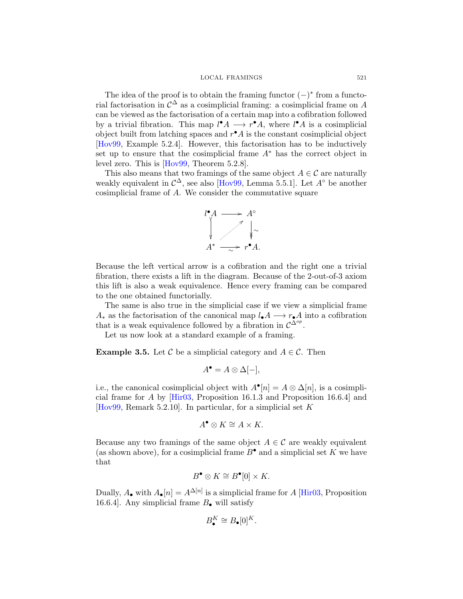#### LOCAL FRAMINGS 521

<span id="page-9-0"></span>The idea of the proof is to obtain the framing functor  $(-)^*$  from a functorial factorisation in  $\mathcal{C}^{\Delta}$  as a cosimplicial framing: a cosimplicial frame on A can be viewed as the factorisation of a certain map into a cofibration followed by a trivial fibration. This map  $l^{\bullet}A \longrightarrow r^{\bullet}A$ , where  $l^{\bullet}A$  is a cosimplicial object built from latching spaces and  $r^{\bullet} A$  is the constant cosimplicial object [\[Hov99,](#page-38-0) Example 5.2.4]. However, this factorisation has to be inductively set up to ensure that the cosimplicial frame  $A^*$  has the correct object in level zero. This is [\[Hov99,](#page-38-0) Theorem 5.2.8].

This also means that two framings of the same object  $A \in \mathcal{C}$  are naturally weakly equivalent in  $\mathcal{C}^{\Delta}$ , see also [\[Hov99,](#page-38-0) Lemma 5.5.1]. Let  $A^{\circ}$  be another cosimplicial frame of A. We consider the commutative square



Because the left vertical arrow is a cofibration and the right one a trivial fibration, there exists a lift in the diagram. Because of the 2-out-of-3 axiom this lift is also a weak equivalence. Hence every framing can be compared to the one obtained functorially.

The same is also true in the simplicial case if we view a simplicial frame  $A_*$  as the factorisation of the canonical map  $l_{\bullet}A \longrightarrow r_{\bullet}A$  into a cofibration that is a weak equivalence followed by a fibration in  $\mathcal{C}^{\Delta^{op}}$ .

Let us now look at a standard example of a framing.

**Example 3.5.** Let C be a simplicial category and  $A \in \mathcal{C}$ . Then

$$
A^{\bullet} = A \otimes \Delta[-],
$$

i.e., the canonical cosimplicial object with  $A^{\bullet}[n] = A \otimes \Delta[n]$ , is a cosimplicial frame for A by  $[Hir03, Proposition 16.1.3]$  and Proposition 16.6.4 and [\[Hov99,](#page-38-0) Remark 5.2.10]. In particular, for a simplicial set  $K$ 

$$
A^{\bullet} \otimes K \cong A \times K.
$$

Because any two framings of the same object  $A \in \mathcal{C}$  are weakly equivalent (as shown above), for a cosimplicial frame  $B^{\bullet}$  and a simplicial set K we have that

$$
B^{\bullet} \otimes K \cong B^{\bullet}[0] \times K.
$$

Dually,  $A_{\bullet}$  with  $A_{\bullet}[n] = A^{\Delta[n]}$  is a simplicial frame for A [\[Hir03,](#page-38-0) Proposition 16.6.4]. Any simplicial frame  $B_{\bullet}$  will satisfy

$$
B_{\bullet}^{K} \cong B_{\bullet}[0]^{K}.
$$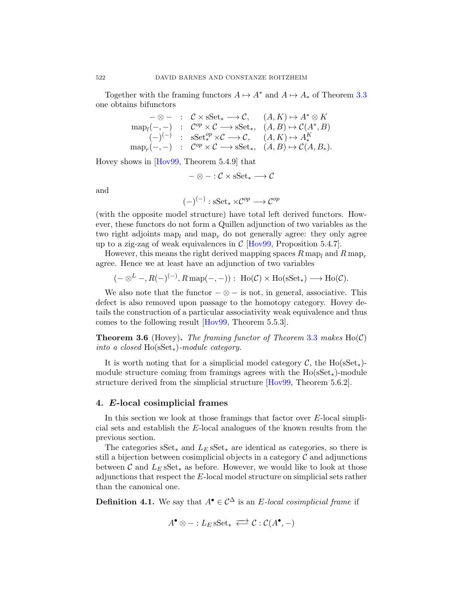Together with the framing functors  $A \mapsto A^*$  and  $A \mapsto A_*$  of Theorem [3.3](#page-7-0) one obtains bifunctors

$$
\begin{array}{rcl}\n-\otimes - & \colon & \mathcal{C} \times \text{sSet}_{*} \longrightarrow \mathcal{C}, \quad (A, K) \mapsto A^{*} \otimes K \\
\text{map}_{l}(-,-) & \colon & \mathcal{C}^{op} \times \mathcal{C} \longrightarrow \text{sSet}_{*}, \quad (A, B) \mapsto \mathcal{C}(A^{*}, B) \\
(\text{---})^{(-)} & \colon & \text{sSet}_{*}^{op} \times \mathcal{C} \longrightarrow \mathcal{C}, \quad (A, K) \mapsto A_{*}^{K} \\
\text{map}_{r}(-,-) & \colon & \mathcal{C}^{op} \times \mathcal{C} \longrightarrow \text{sSet}_{*}, \quad (A, B) \mapsto \mathcal{C}(A, B_{*}).\n\end{array}
$$

Hovey shows in [\[Hov99,](#page-38-0) Theorem 5.4.9] that

$$
-\otimes-:\mathcal{C}\times\mathrm{sSet}_*\longrightarrow\mathcal{C}
$$

and

$$
(-)^{(-)}: \mathbf{sSet}_* \times \mathcal{C}^{op} \longrightarrow \mathcal{C}^{op}
$$

(with the opposite model structure) have total left derived functors. However, these functors do not form a Quillen adjunction of two variables as the two right adjoints map<sub>l</sub> and map<sub>r</sub> do not generally agree: they only agree up to a zig-zag of weak equivalences in  $\mathcal{C}$  [\[Hov99,](#page-38-0) Proposition 5.4.7].

However, this means the right derived mapping spaces  $R \text{ map}_l$  and  $R \text{ map}_r$ agree. Hence we at least have an adjunction of two variables

$$
(- \otimes^L-, R(-)^{(-)}, R\operatorname{map}(-, -)):\; \operatorname{Ho}({\mathcal {C}}) \times \operatorname{Ho}(\operatorname{sSet}_*) \longrightarrow \operatorname{Ho}({\mathcal {C}}).
$$

We also note that the functor  $-\otimes -$  is not, in general, associative. This defect is also removed upon passage to the homotopy category. Hovey details the construction of a particular associativity weak equivalence and thus comes to the following result [\[Hov99,](#page-38-0) Theorem 5.5.3].

Theorem 3.6 (Hovey). *The framing functor of Theorem* [3.3](#page-7-0) *makes* Ho(C) *into a closed* Ho(sSet∗)*-module category.*

It is worth noting that for a simplicial model category  $\mathcal{C}$ , the Ho(sSet<sub>\*</sub>)module structure coming from framings agrees with the  $Ho(sSet_{*)}$ -module structure derived from the simplicial structure [\[Hov99,](#page-38-0) Theorem 5.6.2].

#### 4. E-local cosimplicial frames

In this section we look at those framings that factor over E-local simplicial sets and establish the E-local analogues of the known results from the previous section.

The categories sSet<sub>\*</sub> and  $L<sub>E</sub>$  sSet<sub>\*</sub> are identical as categories, so there is still a bijection between cosimplicial objects in a category  $\mathcal C$  and adjunctions between C and  $L_E$  sSet<sub>\*</sub> as before. However, we would like to look at those adjunctions that respect the E-local model structure on simplicial sets rather than the canonical one.

**Definition 4.1.** We say that  $A^{\bullet} \in C^{\Delta}$  is an *E*-local cosimplicial frame if

$$
A^{\bullet} \otimes - :L_E \, \mathrm{sSet}_* \iff \mathcal{C} : \mathcal{C}(A^{\bullet}, -)
$$

<span id="page-10-0"></span>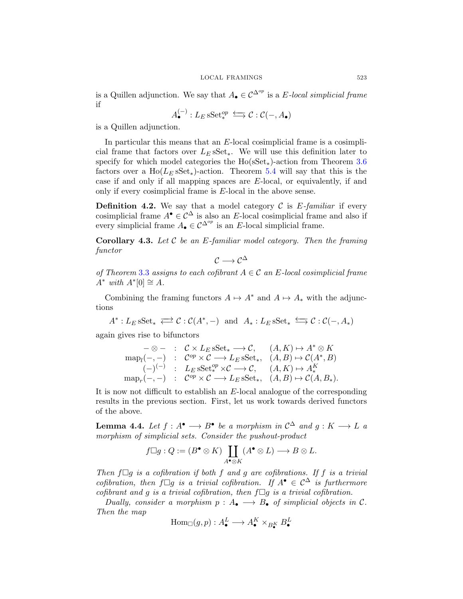<span id="page-11-0"></span>is a Quillen adjunction. We say that  $A_{\bullet} \in C^{\Delta^{op}}$  is a E-local simplicial frame if

$$
A^{(-)}_\bullet: L_E\operatorname{sSet}^{op}_* \stackrel{\longleftarrow}{\longrightarrow} \mathcal{C}:\mathcal{C}(-,A_\bullet)
$$

is a Quillen adjunction.

In particular this means that an E-local cosimplicial frame is a cosimplicial frame that factors over  $L_E$  sSet<sub>\*</sub>. We will use this definition later to specify for which model categories the  $Ho$ (sSet<sub>\*</sub>)-action from Theorem [3.6](#page-9-0) factors over a  $Ho(L<sub>E</sub> sSet<sub>*</sub>)$ -action. Theorem [5.4](#page-14-0) will say that this is the case if and only if all mapping spaces are  $E$ -local, or equivalently, if and only if every cosimplicial frame is E-local in the above sense.

**Definition 4.2.** We say that a model category  $\mathcal{C}$  is  $E$ -familiar if every cosimplicial frame  $A^{\bullet} \in \mathcal{C}^{\Delta}$  is also an E-local cosimplicial frame and also if every simplicial frame  $A_{\bullet} \in C^{\Delta^{op}}$  is an E-local simplicial frame.

Corollary 4.3. *Let* C *be an* E*-familiar model category. Then the framing functor*

 $C \longrightarrow C^{\Delta}$ 

*of Theorem* [3.3](#page-7-0) *assigns to each cofibrant* A ∈ C *an* E*-local cosimplicial frame*  $A^*$  *with*  $A^*[0] \cong A$ *.* 

Combining the framing functors  $A \mapsto A^*$  and  $A \mapsto A_*$  with the adjunctions

 $A^*: L_E sSet_* \iff \mathcal{C}: \mathcal{C}(A^*, -) \text{ and } A_*: L_E sSet_* \iff \mathcal{C}: \mathcal{C}(-, A_*)$ 

again gives rise to bifunctors

$$
\begin{array}{ccl}\n-\otimes - & : & \mathcal{C} \times L_E \operatorname{sSet}_* \longrightarrow \mathcal{C}, \qquad (A, K) \mapsto A^* \otimes K \\
\operatorname{map}_l(-,-) & : & \mathcal{C}^{op} \times \mathcal{C} \longrightarrow L_E \operatorname{sSet}_*, \quad (A, B) \mapsto \mathcal{C}(A^*, B) \\
( - )^{(-)} & : & L_E \operatorname{sSet}_*^{\mathit{op}} \times \mathcal{C} \longrightarrow \mathcal{C}, \qquad (A, K) \mapsto A^K_* \\
\operatorname{map}_r(-,-) & : & \mathcal{C}^{op} \times \mathcal{C} \longrightarrow L_E \operatorname{sSet}_*, \quad (A, B) \mapsto \mathcal{C}(A, B_*).\n\end{array}
$$

It is now not difficult to establish an E-local analogue of the corresponding results in the previous section. First, let us work towards derived functors of the above.

**Lemma 4.4.** Let  $f : A^{\bullet} \longrightarrow B^{\bullet}$  be a morphism in  $C^{\Delta}$  and  $g : K \longrightarrow L$  a *morphism of simplicial sets. Consider the pushout-product*

$$
f \Box g: Q := (B^{\bullet} \otimes K) \coprod_{A^{\bullet} \otimes K} (A^{\bullet} \otimes L) \longrightarrow B \otimes L.
$$

*Then*  $f \Box g$  *is a cofibration if both* f *and* g are cofibrations. If f *is a trivial cofibration, then*  $f \Box g$  *is a trivial cofibration.* If  $A^{\bullet} \in C^{\Delta}$  *is furthermore cofibrant and*  $g$  *is a trivial cofibration, then*  $f \Box g$  *is a trivial cofibration.* 

*Dually, consider a morphism*  $p : A_{\bullet} \longrightarrow B_{\bullet}$  *of simplicial objects in* C. *Then the map*

$$
\text{Hom}_{\Box}(g,p): A^L_{\bullet} \longrightarrow A^K_{\bullet} \times_{B^K_{\bullet}} B^L_{\bullet}
$$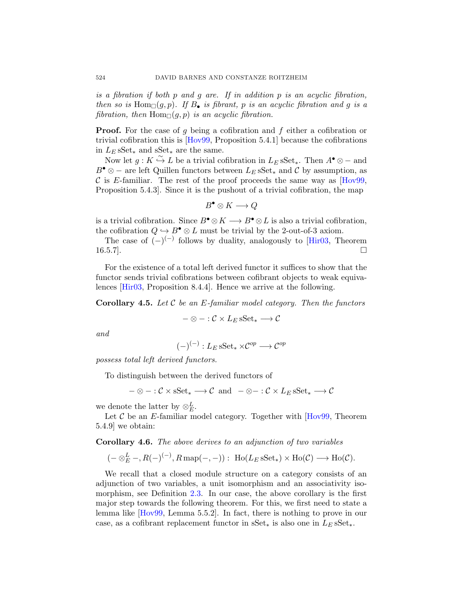*is a fibration if both* p *and* g *are. If in addition* p *is an acyclic fibration, then so is*  $Hom_{\Box}(g, p)$ *. If*  $B_{\bullet}$  *is fibrant,* p *is an acyclic fibration and* g *is a fibration, then*  $Hom_{\Box}(g, p)$  *is an acyclic fibration.* 

**Proof.** For the case of g being a cofibration and f either a cofibration or trivial cofibration this is [\[Hov99,](#page-38-0) Proposition 5.4.1] because the cofibrations in  $L_E$  sSet<sub>∗</sub> and sSet<sub>∗</sub> are the same.

Now let  $g: K \overset{\sim}{\hookrightarrow} L$  be a trivial cofibration in  $L_E$  sSet<sub>\*</sub>. Then  $A^{\bullet} \otimes -$  and  $B^{\bullet} \otimes -$  are left Quillen functors between  $L_E$  sSet<sub>\*</sub> and C by assumption, as C is E-familiar. The rest of the proof proceeds the same way as  $[Hov99,$ Proposition 5.4.3]. Since it is the pushout of a trivial cofibration, the map

$$
B^{\bullet} \otimes K \longrightarrow Q
$$

is a trivial cofibration. Since  $B^{\bullet} \otimes K \longrightarrow B^{\bullet} \otimes L$  is also a trivial cofibration, the cofibration  $Q \hookrightarrow B^{\bullet} \otimes L$  must be trivial by the 2-out-of-3 axiom.

The case of  $(-)^{(-)}$  follows by duality, analogously to [\[Hir03,](#page-38-0) Theorem  $16.5.7$ ].

For the existence of a total left derived functor it suffices to show that the functor sends trivial cofibrations between cofibrant objects to weak equivalences [\[Hir03,](#page-38-0) Proposition 8.4.4]. Hence we arrive at the following.

Corollary 4.5. *Let* C *be an* E*-familiar model category. Then the functors*

$$
-\otimes-:\mathcal{C}\times L_E\operatorname{sSet}_*\longrightarrow\mathcal{C}
$$

*and*

$$
(-)^{(-)}: L_E \operatorname{sSet}_* \times \mathcal{C}^{op} \longrightarrow \mathcal{C}^{op}
$$

*possess total left derived functors.*

To distinguish between the derived functors of

$$
-\otimes - : \mathcal{C} \times \mathrm{sSet}_{*} \longrightarrow \mathcal{C} \text{ and } -\otimes - : \mathcal{C} \times L_{E} \mathrm{sSet}_{*} \longrightarrow \mathcal{C}
$$

we denote the latter by  $\otimes_E^L$ .

Let  $\mathcal C$  be an E-familiar model category. Together with  $[Hov99,$  Theorem 5.4.9] we obtain:

Corollary 4.6. *The above derives to an adjunction of two variables*

 $(- \otimes_E^L-, R(-)^{(-)}, R \operatorname{map}(-, -)) : \operatorname{Ho}(L_E \operatorname{sSet}_*) \times \operatorname{Ho}(\mathcal{C}) \longrightarrow \operatorname{Ho}(\mathcal{C}).$ 

We recall that a closed module structure on a category consists of an adjunction of two variables, a unit isomorphism and an associativity isomorphism, see Definition [2.3.](#page-5-0) In our case, the above corollary is the first major step towards the following theorem. For this, we first need to state a lemma like [\[Hov99,](#page-38-0) Lemma 5.5.2]. In fact, there is nothing to prove in our case, as a cofibrant replacement functor in  $S^{\text{et}}*$  is also one in  $L_E S^{\text{et}}*$ .

<span id="page-12-0"></span>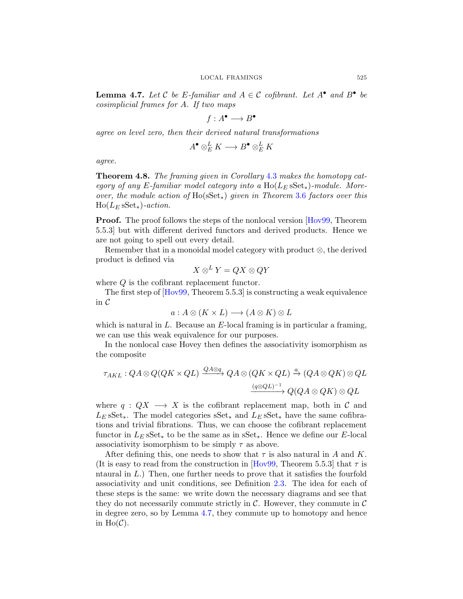<span id="page-13-0"></span>**Lemma 4.7.** Let C be E-familiar and  $A \in \mathcal{C}$  cofibrant. Let  $A^{\bullet}$  and  $B^{\bullet}$  be *cosimplicial frames for* A*. If two maps*

 $f: A^{\bullet} \longrightarrow B^{\bullet}$ 

*agree on level zero, then their derived natural transformations*

$$
A^{\bullet} \otimes^L_E K \longrightarrow B^{\bullet} \otimes^L_E K
$$

*agree.*

Theorem 4.8. *The framing given in Corollary* [4.3](#page-10-0) *makes the homotopy category of any* E-familiar model category into a  $\text{Ho}(L_E \text{sSet}_*)$ -module. More*over, the module action of* Ho(sSet∗) *given in Theorem* [3.6](#page-9-0) *factors over this*  $Ho(L_E sSet_*)\text{-}action.$ 

Proof. The proof follows the steps of the nonlocal version [\[Hov99,](#page-38-0) Theorem 5.5.3] but with different derived functors and derived products. Hence we are not going to spell out every detail.

Remember that in a monoidal model category with product ⊗, the derived product is defined via

$$
X\otimes^LY=QX\otimes QY
$$

where  $Q$  is the cofibrant replacement functor.

The first step of [\[Hov99,](#page-38-0) Theorem 5.5.3] is constructing a weak equivalence in C

$$
a: A \otimes (K \times L) \longrightarrow (A \otimes K) \otimes L
$$

which is natural in  $L$ . Because an  $E$ -local framing is in particular a framing, we can use this weak equivalence for our purposes.

In the nonlocal case Hovey then defines the associativity isomorphism as the composite

$$
\tau_{AKL}: QA \otimes Q(QK \times QL) \xrightarrow{QA \otimes q} QA \otimes (QK \times QL) \xrightarrow{a} (QA \otimes QK) \otimes QL
$$
  

$$
\xrightarrow{(q \otimes QL)^{-1}} Q(QA \otimes QK) \otimes QL
$$

where  $q: QX \longrightarrow X$  is the cofibrant replacement map, both in C and  $L_E$  sSet<sub>\*</sub>. The model categories sSet<sub>\*</sub> and  $L_E$  sSet<sub>\*</sub> have the same cofibrations and trivial fibrations. Thus, we can choose the cofibrant replacement functor in  $L_E$  sSet<sub>\*</sub> to be the same as in sSet<sub>\*</sub>. Hence we define our E-local associativity isomorphism to be simply  $\tau$  as above.

After defining this, one needs to show that  $\tau$  is also natural in A and K. (It is easy to read from the construction in [\[Hov99,](#page-38-0) Theorem 5.5.3] that  $\tau$  is ntaural in L.) Then, one further needs to prove that it satisfies the fourfold associativity and unit conditions, see Definition [2.3.](#page-5-0) The idea for each of these steps is the same: we write down the necessary diagrams and see that they do not necessarily commute strictly in  $\mathcal C$ . However, they commute in  $\mathcal C$ in degree zero, so by Lemma [4.7,](#page-12-0) they commute up to homotopy and hence in  $Ho(\mathcal{C})$ .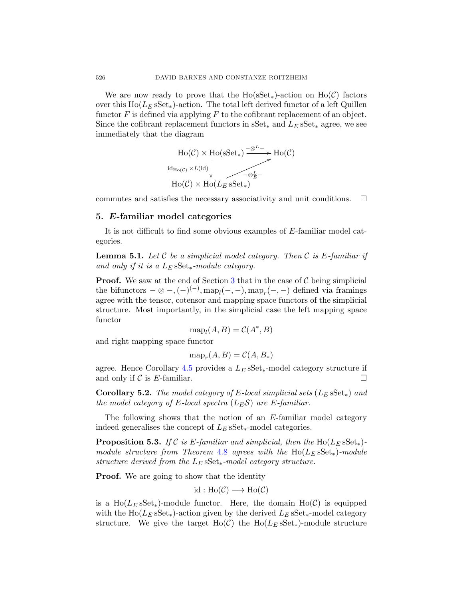We are now ready to prove that the  $Ho(sSet_{*)}$ -action on  $Ho(\mathcal{C})$  factors over this  $Ho(L<sub>E</sub> sSet<sub>*</sub>)$ -action. The total left derived functor of a left Quillen functor  $F$  is defined via applying  $F$  to the cofibrant replacement of an object. Since the cofibrant replacement functors in  $\text{SSet}_*$  and  $L_E \text{SSet}_*$  agree, we see immediately that the diagram



commutes and satisfies the necessary associativity and unit conditions.  $\Box$ 

#### 5. E-familiar model categories

It is not difficult to find some obvious examples of E-familiar model categories.

Lemma 5.1. *Let* C *be a simplicial model category. Then* C *is* E*-familiar if and only if it is a*  $L<sub>E</sub>$  sSet<sub>\*</sub>-module category.

**Proof.** We saw at the end of Section [3](#page-6-0) that in the case of  $\mathcal{C}$  being simplicial the bifunctors  $-\otimes -$ ,  $(-)^{(-)}$ ,  $\text{map}_{l}(-, -)$ ,  $\text{map}_{r}(-, -)$  defined via framings agree with the tensor, cotensor and mapping space functors of the simplicial structure. Most importantly, in the simplicial case the left mapping space functor

$$
\operatorname{map}_l(A, B) = \mathcal{C}(A^*, B)
$$

and right mapping space functor

$$
\operatorname{map}_r(A, B) = \mathcal{C}(A, B_*)
$$

agree. Hence Corollary [4.5](#page-11-0) provides a  $L_E$  sSet<sub>\*</sub>-model category structure if and only if  $\mathcal C$  is E-familiar.

**Corollary 5.2.** *The model category of* E-local simplicial sets  $(L_E S S E_*)$  and *the model category of*  $E$ *-local spectra*  $(L_E S)$  *are*  $E$ *-familiar.* 

The following shows that the notion of an E-familiar model category indeed generalises the concept of  $L<sub>E</sub>$  sSet<sub>\*</sub>-model categories.

**Proposition 5.3.** *If* C is E-familiar and simplicial, then the  $\text{Ho}(L_E \text{sSet}_*)$ *module structure from Theorem* [4.8](#page-12-0) *agrees with the* Ho( $L$ E sSet∗)*-module structure derived from the* L<sup>E</sup> sSet∗*-model category structure.*

**Proof.** We are going to show that the identity

$$
id : Ho(\mathcal{C}) \longrightarrow Ho(\mathcal{C})
$$

is a  $Ho(L<sub>E</sub> sSet<sub>*</sub>)$ -module functor. Here, the domain  $Ho(\mathcal{C})$  is equipped with the Ho( $L_E$  sSet<sub>\*</sub>)-action given by the derived  $L_E$  sSet<sub>\*</sub>-model category structure. We give the target Ho(C) the Ho( $L<sub>E</sub>$  sSet<sub>\*</sub>)-module structure

<span id="page-14-0"></span>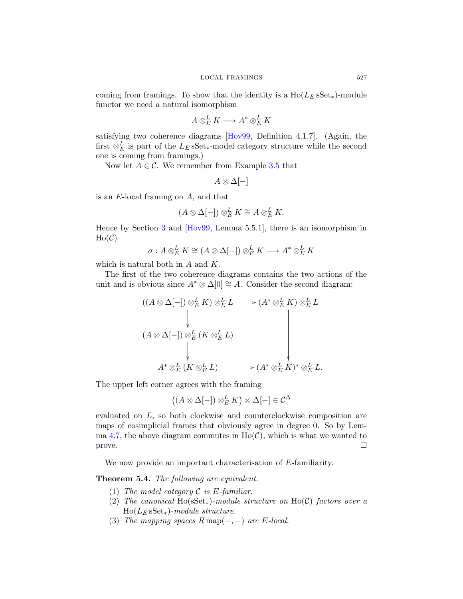<span id="page-15-0"></span>coming from framings. To show that the identity is a  $Ho(L<sub>E</sub> SSet<sub>*</sub>)$ -module functor we need a natural isomorphism

$$
A \otimes_E^L K \longrightarrow A^* \otimes_E^L K
$$

satisfying two coherence diagrams [\[Hov99,](#page-38-0) Definition 4.1.7]. (Again, the first  $\otimes_E^L$  is part of the  $L_E$  sSet<sub>\*</sub>-model category structure while the second one is coming from framings.)

Now let  $A \in \mathcal{C}$ . We remember from Example [3.5](#page-8-0) that

$$
A\otimes\Delta[-]
$$

is an E-local framing on A, and that

$$
(A \otimes \Delta[-]) \otimes_E^L K \cong A \otimes_E^L K.
$$

Hence by Section [3](#page-6-0) and [\[Hov99,](#page-38-0) Lemma 5.5.1], there is an isomorphism in  $Ho(\mathcal{C})$ 

$$
\sigma: A \otimes_E^L K \cong (A \otimes \Delta[-]) \otimes_E^L K \longrightarrow A^* \otimes_E^L K
$$

which is natural both in A and K.

The first of the two coherence diagrams contains the two actions of the unit and is obvious since  $A^* \otimes \Delta[0] \cong A$ . Consider the second diagram:

$$
(A \otimes \Delta[-]) \otimes_{E}^{L} K) \otimes_{E}^{L} L \longrightarrow (A^{*} \otimes_{E}^{L} K) \otimes_{E}^{L} L
$$
  
\n
$$
(A \otimes \Delta[-]) \otimes_{E}^{L} (K \otimes_{E}^{L} L)
$$
  
\n
$$
A^{*} \otimes_{E}^{L} (K \otimes_{E}^{L} L) \longrightarrow (A^{*} \otimes_{E}^{L} K)^{*} \otimes_{E}^{L} L.
$$

The upper left corner agrees with the framing

$$
((A \otimes \Delta[-]) \otimes_E^L K) \otimes \Delta[-] \in \mathcal{C}^{\Delta}
$$

evaluated on L, so both clockwise and counterclockwise composition are maps of cosimplicial frames that obviously agree in degree 0. So by Lem-ma [4.7,](#page-12-0) the above diagram commutes in  $Ho(\mathcal{C})$ , which is what we wanted to  $\Box$ 

We now provide an important characterisation of E-familiarity.

Theorem 5.4. *The following are equivalent.*

- (1) *The model category* C *is* E*-familiar.*
- (2) *The canonical* Ho(sSet∗)*-module structure on* Ho(C) *factors over a* Ho(L<sup>E</sup> sSet∗)*-module structure.*
- (3) *The mapping spaces*  $R \text{ map}(-,-)$  *are E*-local.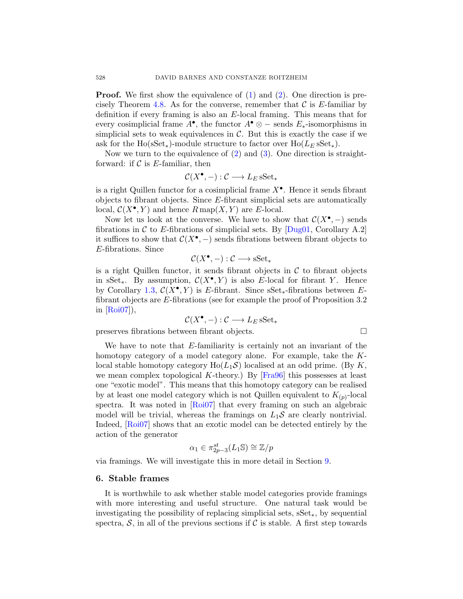**Proof.** We first show the equivalence of  $(1)$  and  $(2)$ . One direction is pre-cisely Theorem [4.8.](#page-12-0) As for the converse, remember that  $\mathcal C$  is E-familiar by definition if every framing is also an E-local framing. This means that for every cosimplicial frame  $A^{\bullet}$ , the functor  $A^{\bullet} \otimes -$  sends  $E_{*}$ -isomorphisms in simplicial sets to weak equivalences in  $\mathcal{C}$ . But this is exactly the case if we ask for the Ho(sSet<sub>\*</sub>)-module structure to factor over  $Ho(L<sub>E</sub> sSet<sub>*</sub>)$ .

Now we turn to the equivalence of  $(2)$  and  $(3)$ . One direction is straightforward: if  $\mathcal C$  is E-familiar, then

$$
\mathcal{C}(X^{\bullet},-): \mathcal{C} \longrightarrow L_{E} \, \mathrm{sSet}_{*}
$$

is a right Quillen functor for a cosimplicial frame  $X^{\bullet}$ . Hence it sends fibrant objects to fibrant objects. Since E-fibrant simplicial sets are automatically local,  $C(X^{\bullet}, Y)$  and hence  $R \text{ map}(X, Y)$  are E-local.

Now let us look at the converse. We have to show that  $\mathcal{C}(X^{\bullet},-)$  sends fibrations in C to E-fibrations of simplicial sets. By  $[Dug01, Corollary A.2]$ it suffices to show that  $\mathcal{C}(X^{\bullet},-)$  sends fibrations between fibrant objects to E-fibrations. Since

$$
\mathcal{C}(X^{\bullet}, -) : \mathcal{C} \longrightarrow \mathbf{sSet}_{*}
$$

is a right Quillen functor, it sends fibrant objects in  $\mathcal C$  to fibrant objects in sSet<sub>\*</sub>. By assumption,  $C(X^{\bullet}, Y)$  is also E-local for fibrant Y. Hence by Corollary [1.3,](#page-3-0)  $C(X^{\bullet}, Y)$  is E-fibrant. Since  $sSet_{*}$ -fibrations between Efibrant objects are E-fibrations (see for example the proof of Proposition 3.2 in  $[Roi07]$ ,

$$
\mathcal{C}(X^{\bullet},-): \mathcal{C} \longrightarrow L_{E} \, \mathrm{sSet}_{*}
$$

preserves fibrations between fibrant objects.

We have to note that  $E$ -familiarity is certainly not an invariant of the homotopy category of a model category alone. For example, take the Klocal stable homotopy category  $Ho(L_1\mathcal{S})$  localised at an odd prime. (By K, we mean complex topological K-theory.) By  $[Fra96]$  this possesses at least one "exotic model". This means that this homotopy category can be realised by at least one model category which is not Quillen equivalent to  $K_{(p)}$ -local spectra. It was noted in [\[Roi07\]](#page-38-0) that every framing on such an algebraic model will be trivial, whereas the framings on  $L_1S$  are clearly nontrivial. Indeed, [\[Roi07\]](#page-38-0) shows that an exotic model can be detected entirely by the action of the generator

$$
\alpha_1 \in \pi_{2p-3}^{st}(L_1 \mathbb{S}) \cong \mathbb{Z}/p
$$

via framings. We will investigate this in more detail in Section [9.](#page-28-0)

#### 6. Stable frames

It is worthwhile to ask whether stable model categories provide framings with more interesting and useful structure. One natural task would be investigating the possibility of replacing simplicial sets, sSet∗, by sequential spectra,  $S$ , in all of the previous sections if C is stable. A first step towards

<span id="page-16-0"></span>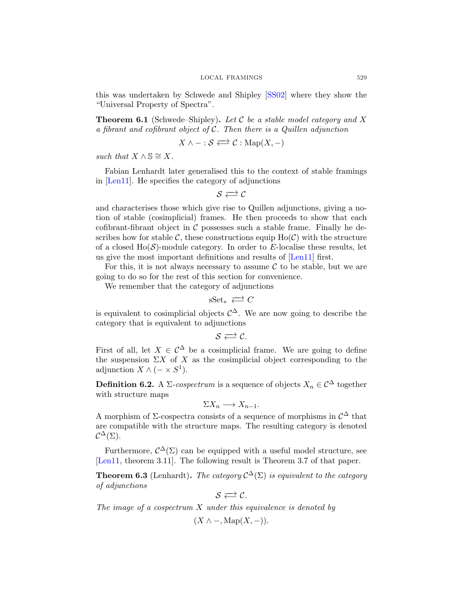this was undertaken by Schwede and Shipley [\[SS02\]](#page-39-0) where they show the "Universal Property of Spectra".

Theorem 6.1 (Schwede–Shipley). *Let* C *be a stable model category and* X *a fibrant and cofibrant object of* C*. Then there is a Quillen adjunction*

$$
X \wedge - : \mathcal{S} \Longleftrightarrow \mathcal{C} : \mathrm{Map}(X,-)
$$

*such that*  $X \wedge \mathbb{S} \cong X$ .

Fabian Lenhardt later generalised this to the context of stable framings in [\[Len11\]](#page-38-0). He specifies the category of adjunctions

 $S \rightleftarrows C$ 

and characterises those which give rise to Quillen adjunctions, giving a notion of stable (cosimplicial) frames. He then proceeds to show that each cofibrant-fibrant object in  $\mathcal C$  possesses such a stable frame. Finally he describes how for stable C, these constructions equip  $Ho(\mathcal{C})$  with the structure of a closed Ho( $\mathcal{S}$ )-module category. In order to E-localise these results, let us give the most important definitions and results of [\[Len11\]](#page-38-0) first.

For this, it is not always necessary to assume  $\mathcal C$  to be stable, but we are going to do so for the rest of this section for convenience.

We remember that the category of adjunctions

$$
\mathrm{sSet}_* \ \overrightarrow{\leftarrow} \ C
$$

is equivalent to cosimplicial objects  $\mathcal{C}^{\Delta}$ . We are now going to describe the category that is equivalent to adjunctions

 $S \rightleftarrows C$ .

First of all, let  $X \in \mathcal{C}^{\Delta}$  be a cosimplicial frame. We are going to define the suspension  $\Sigma X$  of X as the cosimplicial object corresponding to the adjunction  $X \wedge (-\times S^1)$ .

**Definition 6.2.** A  $\Sigma$ -cospectrum is a sequence of objects  $X_n \in \mathcal{C}^{\Delta}$  together with structure maps

$$
\Sigma X_n \longrightarrow X_{n-1}.
$$

A morphism of  $\Sigma$ -cospectra consists of a sequence of morphisms in  $\mathcal{C}^{\Delta}$  that are compatible with the structure maps. The resulting category is denoted  $\mathcal{C}^\Delta(\Sigma).$ 

Furthermore,  $\mathcal{C}^{\Delta}(\Sigma)$  can be equipped with a useful model structure, see [\[Len11,](#page-38-0) theorem 3.11]. The following result is Theorem 3.7 of that paper.

**Theorem 6.3** (Lenhardt). *The category*  $C^{\Delta}(\Sigma)$  *is equivalent to the category of adjunctions*

$$
\mathcal{S} \rightleftarrows \mathcal{C}.
$$

*The image of a cospectrum* X *under this equivalence is denoted by*

 $(X \wedge -, \text{Map}(X, -)).$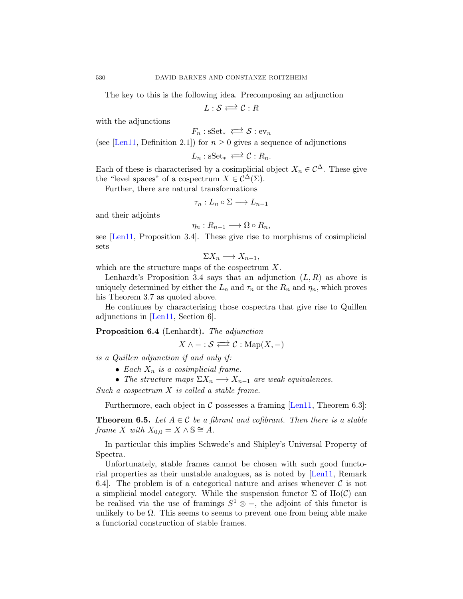The key to this is the following idea. Precomposing an adjunction

 $L : \mathcal{S} \rightleftarrows \mathcal{C} : R$ 

with the adjunctions

$$
F_n: \mathrm{sSet}_* \iff \mathcal{S}: \mathrm{ev}_n
$$

(see [\[Len11,](#page-38-0) Definition 2.1]) for  $n \geq 0$  gives a sequence of adjunctions

$$
L_n: \mathrm{sSet}_* \iff \mathcal{C}: R_n.
$$

Each of these is characterised by a cosimplicial object  $X_n \in \mathcal{C}^{\Delta}$ . These give the "level spaces" of a cospectrum  $X \in C^{\Delta}(\Sigma)$ .

Further, there are natural transformations

$$
\tau_n: L_n \circ \Sigma \longrightarrow L_{n-1}
$$

and their adjoints

$$
\eta_n: R_{n-1} \longrightarrow \Omega \circ R_n,
$$

see [\[Len11,](#page-38-0) Proposition 3.4]. These give rise to morphisms of cosimplicial sets

$$
\Sigma X_n \longrightarrow X_{n-1},
$$

which are the structure maps of the cospectrum X.

Lenhardt's Proposition 3.4 says that an adjunction  $(L, R)$  as above is uniquely determined by either the  $L_n$  and  $\tau_n$  or the  $R_n$  and  $\eta_n$ , which proves his Theorem 3.7 as quoted above.

He continues by characterising those cospectra that give rise to Quillen adjunctions in [\[Len11,](#page-38-0) Section 6].

Proposition 6.4 (Lenhardt). *The adjunction*

$$
X \wedge - : \mathcal{S} \Longleftrightarrow \mathcal{C} : \mathrm{Map}(X, -)
$$

*is a Quillen adjunction if and only if:*

- *Each*  $X_n$  *is a cosimplicial frame.*
- *The structure maps*  $\Sigma X_n \longrightarrow X_{n-1}$  *are weak equivalences.*

*Such a cospectrum* X *is called a stable frame.*

Furthermore, each object in C possesses a framing [\[Len11,](#page-38-0) Theorem 6.3]:

**Theorem 6.5.** *Let*  $A \in \mathcal{C}$  *be a fibrant and cofibrant. Then there is a stable frame* X *with*  $X_{0,0} = X \wedge \mathbb{S} \cong A$ *.* 

In particular this implies Schwede's and Shipley's Universal Property of Spectra.

Unfortunately, stable frames cannot be chosen with such good functorial properties as their unstable analogues, as is noted by [\[Len11,](#page-38-0) Remark 6.4. The problem is of a categorical nature and arises whenever  $\mathcal C$  is not a simplicial model category. While the suspension functor  $\Sigma$  of Ho( $\mathcal{C}$ ) can be realised via the use of framings  $S^1 \otimes -$ , the adjoint of this functor is unlikely to be  $\Omega$ . This seems to seems to prevent one from being able make a functorial construction of stable frames.

<span id="page-18-0"></span>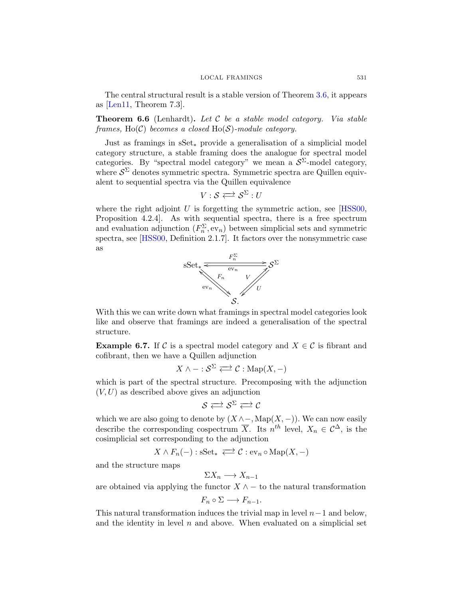<span id="page-19-0"></span>The central structural result is a stable version of Theorem [3.6,](#page-9-0) it appears as [\[Len11,](#page-38-0) Theorem 7.3].

Theorem 6.6 (Lenhardt). *Let* C *be a stable model category. Via stable frames,* Ho(C) *becomes a closed* Ho(S)*-module category.*

Just as framings in sSet∗ provide a generalisation of a simplicial model category structure, a stable framing does the analogue for spectral model categories. By "spectral model category" we mean a  $S^{\Sigma}$ -model category, where  $S^{\Sigma}$  denotes symmetric spectra. Symmetric spectra are Quillen equivalent to sequential spectra via the Quillen equivalence

$$
V: \mathcal{S} \Longleftrightarrow \mathcal{S}^{\Sigma}: U
$$

where the right adjoint U is forgetting the symmetric action, see  $[HSS00,$ Proposition 4.2.4]. As with sequential spectra, there is a free spectrum and evaluation adjunction  $(F_n^{\Sigma}, ev_n)$  between simplicial sets and symmetric spectra, see [\[HSS00,](#page-38-0) Definition 2.1.7]. It factors over the nonsymmetric case as



With this we can write down what framings in spectral model categories look like and observe that framings are indeed a generalisation of the spectral structure.

**Example 6.7.** If C is a spectral model category and  $X \in \mathcal{C}$  is fibrant and cofibrant, then we have a Quillen adjunction

$$
X \wedge - :S^{\Sigma} \rightleftarrows \mathcal{C} : \mathrm{Map}(X,-)
$$

which is part of the spectral structure. Precomposing with the adjunction  $(V, U)$  as described above gives an adjunction

$$
\mathcal{S} \rightleftarrows \mathcal{S}^{\Sigma} \rightleftarrows \mathcal{C}
$$

which we are also going to denote by  $(X \land \neg, \text{Map}(X, -))$ . We can now easily describe the corresponding cospectrum  $\overline{X}$ . Its  $n^{th}$  level,  $X_n \in C^{\Delta}$ , is the cosimplicial set corresponding to the adjunction

$$
X \wedge F_n(-) : \mathbf{sSet}_* \iff \mathcal{C} : \mathbf{ev}_n \circ \mathbf{Map}(X, -)
$$

and the structure maps

$$
\Sigma X_n \longrightarrow X_{n-1}
$$

are obtained via applying the functor  $X \wedge -$  to the natural transformation

$$
F_n \circ \Sigma \longrightarrow F_{n-1}.
$$

This natural transformation induces the trivial map in level  $n-1$  and below, and the identity in level  $n$  and above. When evaluated on a simplicial set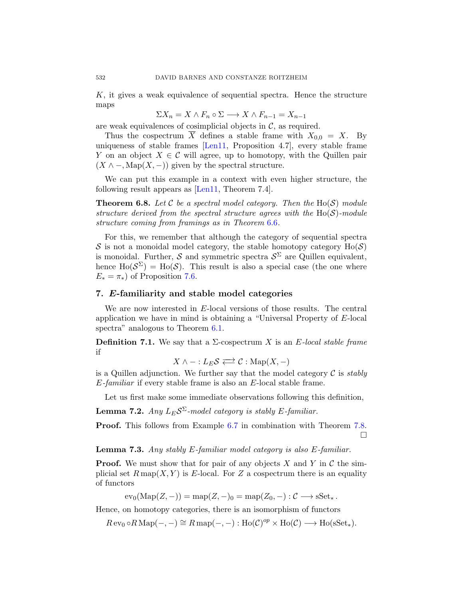K, it gives a weak equivalence of sequential spectra. Hence the structure maps

$$
\Sigma X_n = X \wedge F_n \circ \Sigma \longrightarrow X \wedge F_{n-1} = X_{n-1}
$$

are weak equivalences of cosimplicial objects in  $\mathcal{C}$ , as required.

Thus the cospectrum  $\overline{X}$  defines a stable frame with  $X_{0,0} = X$ . By uniqueness of stable frames [\[Len11,](#page-38-0) Proposition 4.7], every stable frame Y on an object  $X \in \mathcal{C}$  will agree, up to homotopy, with the Quillen pair  $(X \wedge -$ , Map $(X, -)$ ) given by the spectral structure.

We can put this example in a context with even higher structure, the following result appears as [\[Len11,](#page-38-0) Theorem 7.4].

**Theorem 6.8.** Let  $C$  be a spectral model category. Then the  $Ho(S)$  module *structure derived from the spectral structure agrees with the* Ho(S)*-module structure coming from framings as in Theorem* [6.6](#page-18-0)*.*

For this, we remember that although the category of sequential spectra S is not a monoidal model category, the stable homotopy category  $Ho(S)$ is monoidal. Further, S and symmetric spectra  $S^{\Sigma}$  are Quillen equivalent, hence  $\text{Ho}(\mathcal{S}^{\Sigma}) = \text{Ho}(\mathcal{S})$ . This result is also a special case (the one where  $E_* = \pi_*$ ) of Proposition [7.6.](#page-22-0)

#### 7. E-familiarity and stable model categories

We are now interested in E-local versions of those results. The central application we have in mind is obtaining a "Universal Property of E-local spectra" analogous to Theorem [6.1.](#page-16-0)

**Definition 7.1.** We say that a  $\Sigma$ -cospectrum X is an E-local stable frame if

$$
X \wedge - :L_E \mathcal{S} \Longleftrightarrow \mathcal{C} : \mathrm{Map}(X,-)
$$

is a Quillen adjunction. We further say that the model category C is *stably* E*-familiar* if every stable frame is also an E-local stable frame.

Let us first make some immediate observations following this definition,

**Lemma 7.2.** *Any*  $L_E \mathcal{S}^{\Sigma}$ -model category is stably E-familiar.

Proof. This follows from Example [6.7](#page-18-0) in combination with Theorem [7.8.](#page-23-0)  $\Box$ 

Lemma 7.3. *Any stably* E*-familiar model category is also* E*-familiar.*

**Proof.** We must show that for pair of any objects X and Y in C the simplicial set  $R \text{ map}(X, Y)$  is E-local. For Z a cospectrum there is an equality of functors

 $ev_0(\text{Map}(Z, -)) = \text{map}(Z, -)_0 = \text{map}(Z_0, -) : \mathcal{C} \longrightarrow s\text{Set}_{\ast}.$ 

Hence, on homotopy categories, there is an isomorphism of functors

 $R \operatorname{ev}_0 \circ R \operatorname{Map}(-,-) \cong R \operatorname{map}(-,-) : \operatorname{Ho}(\mathcal{C})^{\operatorname{op}} \times \operatorname{Ho}(\mathcal{C}) \longrightarrow \operatorname{Ho}(\operatorname{sSet}_*).$ 

<span id="page-20-0"></span>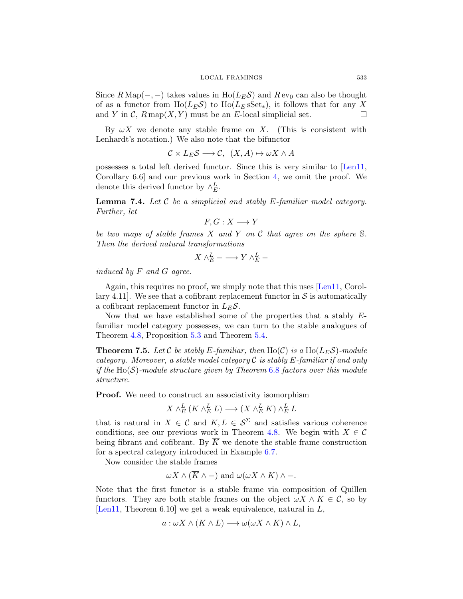Since  $R \text{Map}(-,-)$  takes values in Ho( $L_E \mathcal{S}$ ) and  $R \text{ ev}_0$  can also be thought of as a functor from  $Ho(L_E \mathcal{S})$  to  $Ho(L_E sSet_*)$ , it follows that for any X and Y in C,  $R \text{map}(X, Y)$  must be an E-local simplicial set.

By  $\omega X$  we denote any stable frame on X. (This is consistent with Lenhardt's notation.) We also note that the bifunctor

$$
\mathcal{C} \times L_E \mathcal{S} \longrightarrow \mathcal{C}, \ (X, A) \mapsto \omega X \wedge A
$$

possesses a total left derived functor. Since this is very similar to [\[Len11,](#page-38-0) Corollary 6.6] and our previous work in Section [4,](#page-9-0) we omit the proof. We denote this derived functor by  $\wedge_E^L$ .

Lemma 7.4. *Let* C *be a simplicial and stably* E*-familiar model category. Further, let*

$$
F, G: X \longrightarrow Y
$$

*be two maps of stable frames* X *and* Y *on* C *that agree on the sphere* S*. Then the derived natural transformations*

$$
X \wedge^L_E - \longrightarrow Y \wedge^L_E -
$$

*induced by* F *and* G *agree.*

Again, this requires no proof, we simply note that this uses [\[Len11,](#page-38-0) Corollary 4.11. We see that a cofibrant replacement functor in  $S$  is automatically a cofibrant replacement functor in  $L_E \mathcal{S}$ .

Now that we have established some of the properties that a stably  $E$ familiar model category possesses, we can turn to the stable analogues of Theorem [4.8,](#page-12-0) Proposition [5.3](#page-13-0) and Theorem [5.4.](#page-14-0)

**Theorem 7.5.** Let C be stably E-familiar, then  $\text{Ho}(\mathcal{C})$  is a  $\text{Ho}(L_E\mathcal{S})$ -module *category. Moreover, a stable model category* C *is stably* E*-familiar if and only if the* Ho(S)*-module structure given by Theorem* [6.8](#page-19-0) *factors over this module structure.*

Proof. We need to construct an associativity isomorphism

$$
X \wedge_E^L (K \wedge_E^L L) \longrightarrow (X \wedge_E^L K) \wedge_E^L L
$$

that is natural in  $X \in \mathcal{C}$  and  $K, L \in \mathcal{S}^{\Sigma}$  and satisfies various coherence conditions, see our previous work in Theorem [4.8.](#page-12-0) We begin with  $X \in \mathcal{C}$ being fibrant and cofibrant. By  $\overline{K}$  we denote the stable frame construction for a spectral category introduced in Example [6.7.](#page-18-0)

Now consider the stable frames

$$
\omega X \wedge (\overline{K} \wedge -)
$$
 and  $\omega(\omega X \wedge K) \wedge -$ .

Note that the first functor is a stable frame via composition of Quillen functors. They are both stable frames on the object  $\omega X \wedge K \in \mathcal{C}$ , so by [\[Len11,](#page-38-0) Theorem 6.10] we get a weak equivalence, natural in  $L$ ,

$$
a: \omega X \wedge (K \wedge L) \longrightarrow \omega(\omega X \wedge K) \wedge L,
$$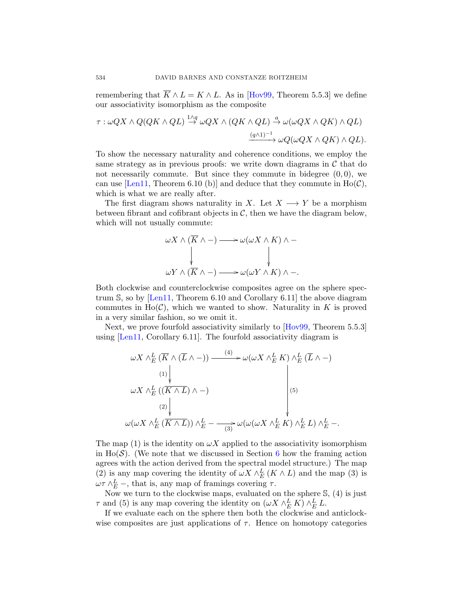<span id="page-22-0"></span>remembering that  $\overline{K} \wedge L = K \wedge L$ . As in [\[Hov99,](#page-38-0) Theorem 5.5.3] we define our associativity isomorphism as the composite

$$
\tau : \omega QX \wedge Q(QK \wedge QL) \stackrel{1 \wedge q}{\rightarrow} \omega QX \wedge (QK \wedge QL) \stackrel{a}{\rightarrow} \omega(\omega QX \wedge QK) \wedge QL)
$$

$$
\xrightarrow{(q \wedge 1)^{-1}} \omega Q(\omega QX \wedge QK) \wedge QL).
$$

To show the necessary naturality and coherence conditions, we employ the same strategy as in previous proofs: we write down diagrams in  $\mathcal C$  that do not necessarily commute. But since they commute in bidegree  $(0, 0)$ , we can use [\[Len11,](#page-38-0) Theorem 6.10 (b)] and deduce that they commute in  $Ho(\mathcal{C})$ , which is what we are really after.

The first diagram shows naturality in X. Let  $X \longrightarrow Y$  be a morphism between fibrant and cofibrant objects in  $\mathcal{C}$ , then we have the diagram below, which will not usually commute:

$$
\omega X \wedge (\overline{K} \wedge -) \longrightarrow \omega(\omega X \wedge K) \wedge -
$$
  
\n
$$
\downarrow \qquad \qquad \downarrow
$$
  
\n
$$
\omega Y \wedge (\overline{K} \wedge -) \longrightarrow \omega(\omega Y \wedge K) \wedge -.
$$

Both clockwise and counterclockwise composites agree on the sphere spectrum S, so by [\[Len11,](#page-38-0) Theorem 6.10 and Corollary 6.11] the above diagram commutes in  $Ho(\mathcal{C})$ , which we wanted to show. Naturality in K is proved in a very similar fashion, so we omit it.

Next, we prove fourfold associativity similarly to [\[Hov99,](#page-38-0) Theorem 5.5.3] using [\[Len11,](#page-38-0) Corollary 6.11]. The fourfold associativity diagram is

$$
\omega X \wedge_E^L (\overline{K} \wedge (\overline{L} \wedge -)) \xrightarrow{(4)} \omega (\omega X \wedge_E^L K) \wedge_E^L (\overline{L} \wedge -)
$$
\n
$$
\omega X \wedge_E^L ((\overline{K \wedge L}) \wedge -)
$$
\n
$$
\omega (2) \vee \omega (2) \vee \omega (2) \wedge_E^L (\overline{K \wedge L})) \wedge_E^L - \xrightarrow{(3)} \omega (\omega (\omega X \wedge_E^L K) \wedge_E^L L) \wedge_E^L -
$$

The map (1) is the identity on  $\omega X$  applied to the associativity isomorphism in Ho(S). (We note that we discussed in Section [6](#page-15-0) how the framing action agrees with the action derived from the spectral model structure.) The map (2) is any map covering the identity of  $\omega X \wedge_E^L (K \wedge L)$  and the map (3) is  $\omega \tau \wedge_E^L$  –, that is, any map of framings covering  $\tau$ .

Now we turn to the clockwise maps, evaluated on the sphere S, (4) is just  $\tau$  and (5) is any map covering the identity on  $(\omega X \wedge_E^L K) \wedge_E^L L$ .

If we evaluate each on the sphere then both the clockwise and anticlockwise composites are just applications of  $\tau$ . Hence on homotopy categories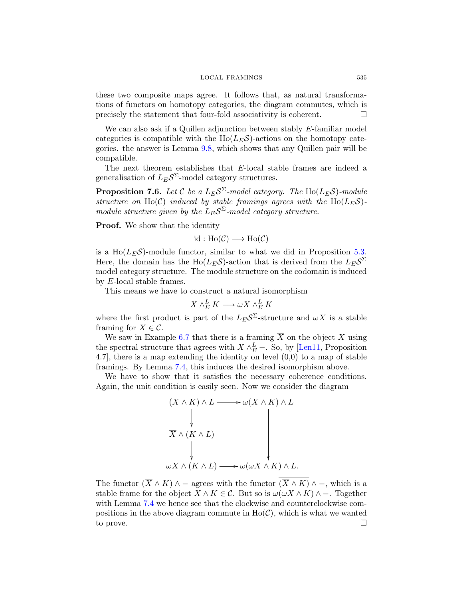#### LOCAL FRAMINGS 535

<span id="page-23-0"></span>these two composite maps agree. It follows that, as natural transformations of functors on homotopy categories, the diagram commutes, which is precisely the statement that four-fold associativity is coherent.  $\Box$ 

We can also ask if a Quillen adjunction between stably E-familiar model categories is compatible with the  $Ho(L<sub>E</sub>S)$ -actions on the homotopy categories. the answer is Lemma [9.8,](#page-34-0) which shows that any Quillen pair will be compatible.

The next theorem establishes that E-local stable frames are indeed a generalisation of  $L_E S^{\Sigma}$ -model category structures.

**Proposition 7.6.** Let C be a  $L_E \mathcal{S}^{\Sigma}$ -model category. The  $\text{Ho}(L_E \mathcal{S})$ -module *structure on* Ho(C) *induced by stable framings agrees with the* Ho( $L_E S$ )*module structure given by the*  $L_E S^{\Sigma}$ -model category structure.

Proof. We show that the identity

$$
id : Ho(\mathcal{C}) \longrightarrow Ho(\mathcal{C})
$$

is a Ho( $L_E \mathcal{S}$ )-module functor, similar to what we did in Proposition [5.3.](#page-13-0) Here, the domain has the  $Ho(L_E \mathcal{S})$ -action that is derived from the  $L_E \mathcal{S}^{\Sigma}$ model category structure. The module structure on the codomain is induced by E-local stable frames.

This means we have to construct a natural isomorphism

$$
X \wedge_E^L K \longrightarrow \omega X \wedge_E^L K
$$

where the first product is part of the  $L_E S^{\Sigma}$ -structure and  $\omega X$  is a stable framing for  $X \in \mathcal{C}$ .

We saw in Example [6.7](#page-18-0) that there is a framing  $\overline{X}$  on the object X using the spectral structure that agrees with  $X \wedge_E^L$  –. So, by [\[Len11,](#page-38-0) Proposition 4.7], there is a map extending the identity on level (0,0) to a map of stable framings. By Lemma [7.4,](#page-20-0) this induces the desired isomorphism above.

We have to show that it satisfies the necessary coherence conditions. Again, the unit condition is easily seen. Now we consider the diagram



The functor  $(\overline{X} \wedge K) \wedge -$  agrees with the functor  $(\overline{X} \wedge K) \wedge -$ , which is a stable frame for the object  $X \wedge K \in \mathcal{C}$ . But so is  $\omega(\omega X \wedge K) \wedge -$ . Together with Lemma  $7.4$  we hence see that the clockwise and counterclockwise compositions in the above diagram commute in  $Ho(\mathcal{C})$ , which is what we wanted to prove.  $\Box$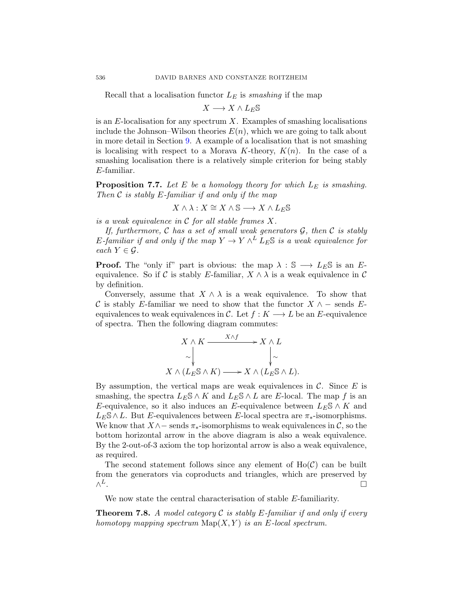Recall that a localisation functor  $L<sub>E</sub>$  is *smashing* if the map

 $X \longrightarrow X \wedge L_E \mathbb{S}$ 

is an  $E$ -localisation for any spectrum X. Examples of smashing localisations include the Johnson–Wilson theories  $E(n)$ , which we are going to talk about in more detail in Section [9.](#page-28-0) A example of a localisation that is not smashing is localising with respect to a Morava K-theory,  $K(n)$ . In the case of a smashing localisation there is a relatively simple criterion for being stably E-familiar.

Proposition 7.7. Let E be a homology theory for which  $L_E$  is smashing. *Then* C *is stably* E*-familiar if and only if the map*

$$
X\wedge\lambda:X\cong X\wedge\mathbb{S}\longrightarrow X\wedge L_E\mathbb{S}
$$

*is a weak equivalence in* C *for all stable frames* X*.*

*If, furthermore,* C *has a set of small weak generators* G*, then* C *is stably* E-familiar if and only if the map  $Y \to Y \wedge^L L_E \mathbb{S}$  is a weak equivalence for *each*  $Y \in \mathcal{G}$ *.* 

**Proof.** The "only if" part is obvious: the map  $\lambda : \mathbb{S} \longrightarrow L_E \mathbb{S}$  is an Eequivalence. So if C is stably E-familiar,  $X \wedge \lambda$  is a weak equivalence in C by definition.

Conversely, assume that  $X \wedge \lambda$  is a weak equivalence. To show that C is stably E-familiar we need to show that the functor  $X \wedge -$  sends Eequivalences to weak equivalences in C. Let  $f: K \longrightarrow L$  be an E-equivalence of spectra. Then the following diagram commutes:

$$
X \wedge K \xrightarrow{X \wedge f} X \wedge L
$$
  
\n
$$
\sim \downarrow \sim
$$
  
\n
$$
X \wedge (L_E \mathbb{S} \wedge K) \longrightarrow X \wedge (L_E \mathbb{S} \wedge L).
$$

 $\lambda$ 

By assumption, the vertical maps are weak equivalences in  $\mathcal{C}$ . Since E is smashing, the spectra  $L_E \S \wedge K$  and  $L_E \S \wedge L$  are E-local. The map f is an E-equivalence, so it also induces an E-equivalence between  $L_E \mathbb{S} \wedge K$  and  $L_E\$  ∧  $L$ . But  $E$ -equivalences between  $E$ -local spectra are  $\pi_*$ -isomorphisms. We know that  $X \wedge -$  sends  $\pi_*$ -isomorphisms to weak equivalences in  $\mathcal{C}$ , so the bottom horizontal arrow in the above diagram is also a weak equivalence. By the 2-out-of-3 axiom the top horizontal arrow is also a weak equivalence, as required.

The second statement follows since any element of  $Ho(\mathcal{C})$  can be built from the generators via coproducts and triangles, which are preserved by  $\wedge^L$ .  $L$ .

We now state the central characterisation of stable E-familiarity.

Theorem 7.8. *A model category* C *is stably* E*-familiar if and only if every homotopy mapping spectrum*  $\text{Map}(X, Y)$  *is an E-local spectrum.* 

<span id="page-24-0"></span>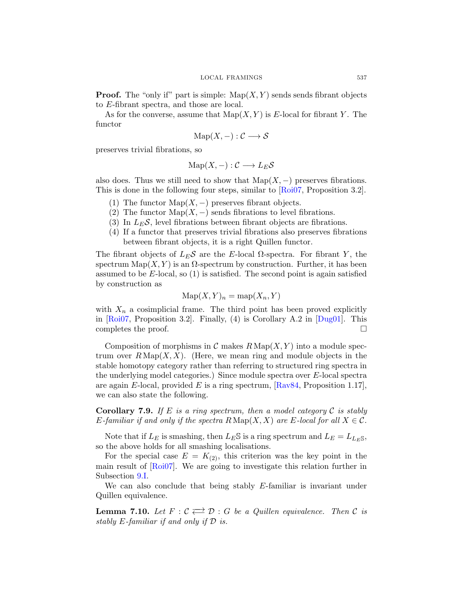<span id="page-25-0"></span>**Proof.** The "only if" part is simple:  $\text{Map}(X, Y)$  sends sends fibrant objects to E-fibrant spectra, and those are local.

As for the converse, assume that  $\mathrm{Map}(X, Y)$  is E-local for fibrant Y. The functor

$$
Map(X, -) : \mathcal{C} \longrightarrow \mathcal{S}
$$

preserves trivial fibrations, so

$$
\mathrm{Map}(X,-):\mathcal{C}\longrightarrow L_E\mathcal{S}
$$

also does. Thus we still need to show that  $\text{Map}(X, -)$  preserves fibrations. This is done in the following four steps, similar to [\[Roi07,](#page-38-0) Proposition 3.2].

- (1) The functor  $\text{Map}(X, -)$  preserves fibrant objects.
- (2) The functor Map( $X$ , –) sends fibrations to level fibrations.
- (3) In  $L_E \mathcal{S}$ , level fibrations between fibrant objects are fibrations.
- (4) If a functor that preserves trivial fibrations also preserves fibrations between fibrant objects, it is a right Quillen functor.

The fibrant objects of  $L_E \mathcal{S}$  are the E-local  $\Omega$ -spectra. For fibrant Y, the spectrum  $\text{Map}(X, Y)$  is an  $\Omega$ -spectrum by construction. Further, it has been assumed to be  $E$ -local, so  $(1)$  is satisfied. The second point is again satisfied by construction as

$$
\mathrm{Map}(X, Y)_n = \mathrm{map}(X_n, Y)
$$

with  $X_n$  a cosimplicial frame. The third point has been proved explicitly in  $[Roi07, Proposition 3.2]$ . Finally, (4) is Corollary A.2 in  $[Dug01]$ . This completes the proof.

Composition of morphisms in C makes  $R \text{Map}(X, Y)$  into a module spectrum over  $R \text{Map}(X, X)$ . (Here, we mean ring and module objects in the stable homotopy category rather than referring to structured ring spectra in the underlying model categories.) Since module spectra over E-local spectra are again E-local, provided E is a ring spectrum,  $\left[\text{Rav84}, \text{Proposition 1.17}\right]$ , we can also state the following.

Corollary 7.9. *If* E *is a ring spectrum, then a model category* C *is stably* E-familiar if and only if the spectra  $R \text{ Map}(X, X)$  are E-local for all  $X \in \mathcal{C}$ .

Note that if  $L_E$  is smashing, then  $L_E \$  is a ring spectrum and  $L_E = L_{L_E \text{S}}$ , so the above holds for all smashing localisations.

For the special case  $E = K_{(2)}$ , this criterion was the key point in the main result of [\[Roi07\]](#page-38-0). We are going to investigate this relation further in Subsection [9.I.](#page-29-0)

We can also conclude that being stably  $E$ -familiar is invariant under Quillen equivalence.

**Lemma 7.10.** Let  $F: \mathcal{C} \rightleftarrows \mathcal{D}: G$  be a Quillen equivalence. Then  $\mathcal{C}$  is *stably* E*-familiar if and only if* D *is.*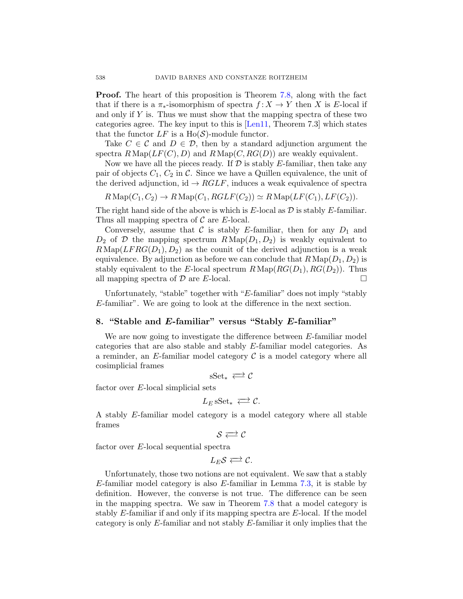Proof. The heart of this proposition is Theorem [7.8,](#page-23-0) along with the fact that if there is a  $\pi_*$ -isomorphism of spectra  $f: X \to Y$  then X is E-local if and only if  $Y$  is. Thus we must show that the mapping spectra of these two categories agree. The key input to this is [\[Len11,](#page-38-0) Theorem 7.3] which states that the functor  $LF$  is a Ho( $\mathcal{S}$ )-module functor.

Take  $C \in \mathcal{C}$  and  $D \in \mathcal{D}$ , then by a standard adjunction argument the spectra  $R\text{Map}(LF(C), D)$  and  $R\text{Map}(C, RG(D))$  are weakly equivalent.

Now we have all the pieces ready. If  $\mathcal D$  is stably E-familiar, then take any pair of objects  $C_1, C_2$  in C. Since we have a Quillen equivalence, the unit of the derived adjunction, id  $\rightarrow RGLF$ , induces a weak equivalence of spectra

$$
R\operatorname{Map}(C_1, C_2) \to R\operatorname{Map}(C_1, RGLF(C_2)) \simeq R\operatorname{Map}(LF(C_1), LF(C_2)).
$$

The right hand side of the above is which is  $E$ -local as  $D$  is stably  $E$ -familiar. Thus all mapping spectra of  $\mathcal C$  are E-local.

Conversely, assume that C is stably E-familiar, then for any  $D_1$  and  $D_2$  of D the mapping spectrum  $R \text{Map}(D_1, D_2)$  is weakly equivalent to  $R\text{Map}(LFRG(D_1), D_2)$  as the counit of the derived adjunction is a weak equivalence. By adjunction as before we can conclude that  $R \text{ Map}(D_1, D_2)$  is stably equivalent to the E-local spectrum  $R \text{ Map}(RG(D_1), RG(D_2))$ . Thus all mapping spectra of  $\mathcal D$  are E-local.

Unfortunately, "stable" together with "E-familiar" does not imply "stably E-familiar". We are going to look at the difference in the next section.

#### 8. "Stable and E-familiar" versus "Stably E-familiar"

We are now going to investigate the difference between E-familiar model categories that are also stable and stably E-familiar model categories. As a reminder, an E-familiar model category  $\mathcal C$  is a model category where all cosimplicial frames

 $\text{sSet}_* \rightleftarrows \mathcal{C}$ 

factor over E-local simplicial sets

$$
L_E \, \text{sSet}_* \iff \mathcal{C}.
$$

A stably E-familiar model category is a model category where all stable frames

 $S \rightleftarrows C$ 

factor over E-local sequential spectra

 $L_{E}S \rightleftarrows \mathcal{C}$ .

Unfortunately, those two notions are not equivalent. We saw that a stably  $E$ -familiar model category is also  $E$ -familiar in Lemma [7.3,](#page-19-0) it is stable by definition. However, the converse is not true. The difference can be seen in the mapping spectra. We saw in Theorem [7.8](#page-23-0) that a model category is stably E-familiar if and only if its mapping spectra are E-local. If the model category is only E-familiar and not stably E-familiar it only implies that the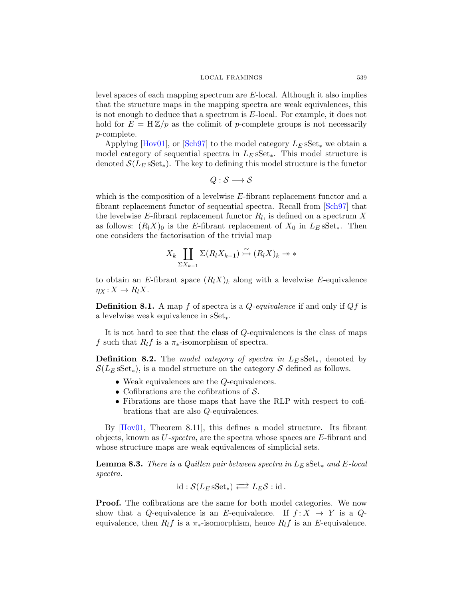#### LOCAL FRAMINGS 539

level spaces of each mapping spectrum are E-local. Although it also implies that the structure maps in the mapping spectra are weak equivalences, this is not enough to deduce that a spectrum is E-local. For example, it does not hold for  $E = H\mathbb{Z}/p$  as the colimit of p-complete groups is not necessarily p-complete.

Applying [\[Hov01\]](#page-38-0), or [\[Sch97\]](#page-38-0) to the model category  $L_E$  sSet<sub>\*</sub> we obtain a model category of sequential spectra in  $L<sub>E</sub>$  sSet<sub>\*</sub>. This model structure is denoted  $\mathcal{S}(L_E \, sSet_*)$ . The key to defining this model structure is the functor

$$
Q: \mathcal{S} \longrightarrow \mathcal{S}
$$

which is the composition of a levelwise E-fibrant replacement functor and a fibrant replacement functor of sequential spectra. Recall from [\[Sch97\]](#page-38-0) that the levelwise E-fibrant replacement functor  $R_l$ , is defined on a spectrum X as follows:  $(R_l X)_0$  is the E-fibrant replacement of  $X_0$  in  $L_E$  sSet<sub>\*</sub>. Then one considers the factorisation of the trivial map

$$
X_k \coprod_{\Sigma X_{k-1}} \Sigma(R_l X_{k-1}) \stackrel{\sim}{\rightarrow} (R_l X)_k \twoheadrightarrow *
$$

to obtain an E-fibrant space  $(R_l X)_k$  along with a levelwise E-equivalence  $\eta_X: X \to R_l X$ .

Definition 8.1. A map f of spectra is a Q*-equivalence* if and only if Qf is a levelwise weak equivalence in sSet∗.

It is not hard to see that the class of Q-equivalences is the class of maps f such that  $R_l$ f is a  $\pi_*$ -isomorphism of spectra.

Definition 8.2. The *model category of spectra in* L<sub>E</sub> sSet<sub>∗</sub>, denoted by  $\mathcal{S}(L_E sSet_*)$ , is a model structure on the category S defined as follows.

- Weak equivalences are the *Q*-equivalences.
- Cofibrations are the cofibrations of  $S$ .
- Fibrations are those maps that have the RLP with respect to cofibrations that are also Q-equivalences.

By [\[Hov01,](#page-38-0) Theorem 8.11], this defines a model structure. Its fibrant objects, known as U*-spectra*, are the spectra whose spaces are E-fibrant and whose structure maps are weak equivalences of simplicial sets.

Lemma 8.3. *There is a Quillen pair between spectra in* L<sup>E</sup> sSet<sup>∗</sup> *and* E*-local spectra.*

$$
\mathrm{id}: \mathcal{S}(L_E\operatorname{sSet}_*) \Longleftrightarrow L_E\mathcal{S}: \mathrm{id}.
$$

Proof. The cofibrations are the same for both model categories. We now show that a Q-equivalence is an E-equivalence. If  $f: X \to Y$  is a Qequivalence, then  $R_l f$  is a  $\pi_*$ -isomorphism, hence  $R_l f$  is an E-equivalence.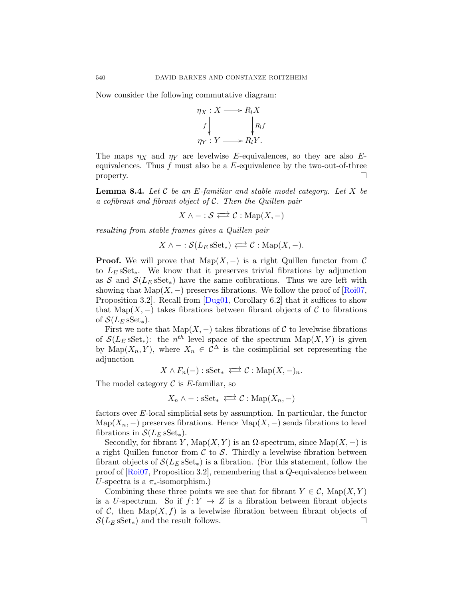Now consider the following commutative diagram:



The maps  $\eta_X$  and  $\eta_Y$  are levelwise E-equivalences, so they are also Eequivalences. Thus  $f$  must also be a  $E$ -equivalence by the two-out-of-three  $\Box$ 

Lemma 8.4. *Let* C *be an* E*-familiar and stable model category. Let* X *be a cofibrant and fibrant object of* C*. Then the Quillen pair*

 $X \wedge - : \mathcal{S} \rightleftarrows \mathcal{C} : \text{Map}(X, -)$ 

*resulting from stable frames gives a Quillen pair*

$$
X \wedge - : \mathcal{S}(L_E sSet_*) \rightleftarrows \mathcal{C} : \text{Map}(X, -).
$$

**Proof.** We will prove that  $\text{Map}(X, -)$  is a right Quillen functor from C to  $L<sub>E</sub>$  sSet<sub>\*</sub>. We know that it preserves trivial fibrations by adjunction as S and  $\mathcal{S}(L_E sSet_*)$  have the same cofibrations. Thus we are left with showing that Map(X, –) preserves fibrations. We follow the proof of [\[Roi07,](#page-38-0) Proposition 3.2]. Recall from [\[Dug01,](#page-37-0) Corollary 6.2] that it suffices to show that Map(X, –) takes fibrations between fibrant objects of C to fibrations of  $\mathcal{S}(L_E \, \text{sSet}_*)$ .

First we note that  $\text{Map}(X, -)$  takes fibrations of C to levelwise fibrations of  $\mathcal{S}(L_E sSet_*)$ : the  $n^{th}$  level space of the spectrum  $\mathrm{Map}(X, Y)$  is given by  $\widehat{\text{Map}}(X_n, Y)$ , where  $X_n \in \mathcal{C}^{\Delta}$  is the cosimplicial set representing the adjunction

 $X \wedge F_n(-)$ : s $Set_* \iff \mathcal{C}$ : Map $(X, -)_n$ .

The model category  $\mathcal C$  is E-familiar, so

$$
X_n \wedge - : \mathrm{sSet}_* \iff \mathcal{C} : \mathrm{Map}(X_n, -)
$$

factors over E-local simplicial sets by assumption. In particular, the functor Map( $X_n$ , –) preserves fibrations. Hence Map( $X$ , –) sends fibrations to level fibrations in  $\mathcal{S}(L_E \, \text{sSet}_*)$ .

Secondly, for fibrant Y,  $\text{Map}(X, Y)$  is an  $\Omega$ -spectrum, since  $\text{Map}(X, -)$  is a right Quillen functor from  $\mathcal C$  to  $\mathcal S$ . Thirdly a levelwise fibration between fibrant objects of  $\mathcal{S}(L_E sSet_*)$  is a fibration. (For this statement, follow the proof of [\[Roi07,](#page-38-0) Proposition 3.2], remembering that a Q-equivalence between U-spectra is a  $\pi_*$ -isomorphism.)

Combining these three points we see that for fibrant  $Y \in \mathcal{C}$ , Map $(X, Y)$ is a U-spectrum. So if  $f: Y \to Z$  is a fibration between fibrant objects of C, then  $\text{Map}(X, f)$  is a levelwise fibration between fibrant objects of  $\mathcal{S}(L_E \, \text{sSet}_*)$  and the result follows.

<span id="page-28-0"></span>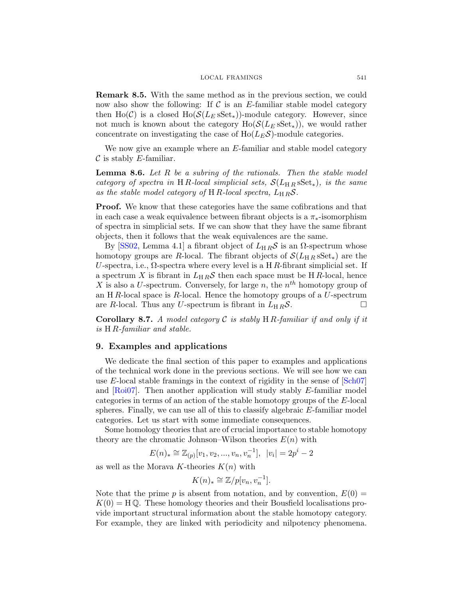<span id="page-29-0"></span>Remark 8.5. With the same method as in the previous section, we could now also show the following: If  $\mathcal C$  is an E-familiar stable model category then Ho(C) is a closed Ho( $\mathcal{S}(L_E \, sSet_*)$ )-module category. However, since not much is known about the category  $Ho(S(L_E sSet_*))$ , we would rather concentrate on investigating the case of  $Ho(L<sub>E</sub>S)$ -module categories.

We now give an example where an  $E$ -familiar and stable model category  $\mathcal C$  is stably E-familiar.

Lemma 8.6. *Let* R *be a subring of the rationals. Then the stable model category of spectra in* HR-local simplicial sets,  $\mathcal{S}(L_{HR} sSet_{*})$ , is the same as the stable model category of H R-local spectra,  $L_{H R} S$ .

Proof. We know that these categories have the same cofibrations and that in each case a weak equivalence between fibrant objects is a  $\pi_*$ -isomorphism of spectra in simplicial sets. If we can show that they have the same fibrant objects, then it follows that the weak equivalences are the same.

By [\[SS02,](#page-39-0) Lemma 4.1] a fibrant object of  $L_{HR}S$  is an  $\Omega$ -spectrum whose homotopy groups are R-local. The fibrant objects of  $\mathcal{S}(L_{HR} sSet_*)$  are the U-spectra, i.e.,  $\Omega$ -spectra where every level is a H R-fibrant simplicial set. If a spectrum X is fibrant in  $L_{H R} S$  then each space must be HR-local, hence X is also a U-spectrum. Conversely, for large n, the  $n<sup>th</sup>$  homotopy group of an H $R$ -local space is  $R$ -local. Hence the homotopy groups of a  $U$ -spectrum are R-local. Thus any U-spectrum is fibrant in  $L_{HR}S$ .

Corollary 8.7. *A model category* C *is stably* H R*-familiar if and only if it is* H R*-familiar and stable.*

#### 9. Examples and applications

We dedicate the final section of this paper to examples and applications of the technical work done in the previous sections. We will see how we can use E-local stable framings in the context of rigidity in the sense of  $|\text{Sch}07|$ and  $\left[\text{Ro}i07\right]$ . Then another application will study stably E-familiar model categories in terms of an action of the stable homotopy groups of the E-local spheres. Finally, we can use all of this to classify algebraic E-familiar model categories. Let us start with some immediate consequences.

Some homology theories that are of crucial importance to stable homotopy theory are the chromatic Johnson–Wilson theories  $E(n)$  with

$$
E(n)_{*} \cong \mathbb{Z}_{(p)}[v_1, v_2, ..., v_n, v_n^{-1}], \ \ |v_i| = 2p^i - 2
$$

as well as the Morava K-theories  $K(n)$  with

$$
K(n)_* \cong \mathbb{Z}/p[v_n, v_n^{-1}].
$$

Note that the prime p is absent from notation, and by convention,  $E(0) =$  $K(0) = H \mathbb{Q}$ . These homology theories and their Bousfield localisations provide important structural information about the stable homotopy category. For example, they are linked with periodicity and nilpotency phenomena.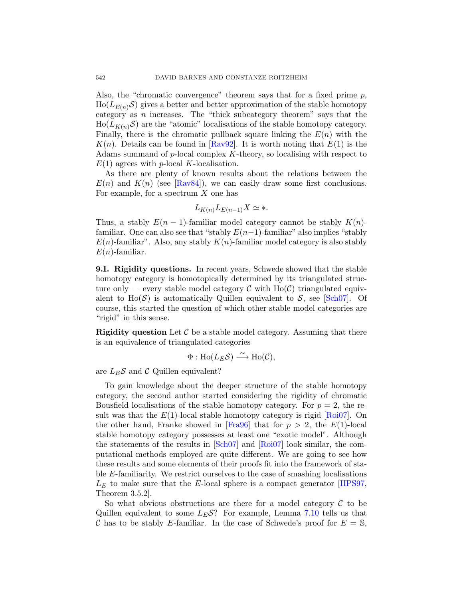Also, the "chromatic convergence" theorem says that for a fixed prime  $p$ ,  $\text{Ho}(L_{E(n)}\mathcal{S})$  gives a better and better approximation of the stable homotopy category as  $n$  increases. The "thick subcategory theorem" says that the  $\text{Ho}(L_{K(n)}\mathcal{S})$  are the "atomic" localisations of the stable homotopy category. Finally, there is the chromatic pullback square linking the  $E(n)$  with the  $K(n)$ . Details can be found in [\[Rav92\]](#page-38-0). It is worth noting that  $E(1)$  is the Adams summand of  $p$ -local complex  $K$ -theory, so localising with respect to  $E(1)$  agrees with p-local K-localisation.

As there are plenty of known results about the relations between the  $E(n)$  and  $K(n)$  (see [\[Rav84\]](#page-38-0)), we can easily draw some first conclusions. For example, for a spectrum  $X$  one has

$$
L_{K(n)}L_{E(n-1)}X \simeq *.
$$

Thus, a stably  $E(n-1)$ -familiar model category cannot be stably  $K(n)$ familiar. One can also see that "stably  $E(n-1)$ -familiar" also implies "stably  $E(n)$ -familiar". Also, any stably  $K(n)$ -familiar model category is also stably  $E(n)$ -familiar.

9.I. Rigidity questions. In recent years, Schwede showed that the stable homotopy category is homotopically determined by its triangulated structure only — every stable model category  $\mathcal C$  with Ho( $\mathcal C$ ) triangulated equivalent to  $Ho(S)$  is automatically Quillen equivalent to S, see [\[Sch07\]](#page-38-0). Of course, this started the question of which other stable model categories are "rigid" in this sense.

**Rigidity question** Let  $\mathcal{C}$  be a stable model category. Assuming that there is an equivalence of triangulated categories

$$
\Phi: \text{Ho}(L_E \mathcal{S}) \xrightarrow{\sim} \text{Ho}(\mathcal{C}),
$$

are  $L_E \mathcal{S}$  and  $\mathcal{C}$  Quillen equivalent?

To gain knowledge about the deeper structure of the stable homotopy category, the second author started considering the rigidity of chromatic Bousfield localisations of the stable homotopy category. For  $p = 2$ , the result was that the  $E(1)$ -local stable homotopy category is rigid  $[Roi07]$ . On the other hand, Franke showed in [\[Fra96\]](#page-38-0) that for  $p > 2$ , the  $E(1)$ -local stable homotopy category possesses at least one "exotic model". Although the statements of the results in [\[Sch07\]](#page-38-0) and [\[Roi07\]](#page-38-0) look similar, the computational methods employed are quite different. We are going to see how these results and some elements of their proofs fit into the framework of stable E-familiarity. We restrict ourselves to the case of smashing localisations  $L<sub>E</sub>$  to make sure that the E-local sphere is a compact generator [\[HPS97,](#page-38-0) Theorem 3.5.2].

So what obvious obstructions are there for a model category  $\mathcal C$  to be Quillen equivalent to some  $L_E S$ ? For example, Lemma [7.10](#page-24-0) tells us that C has to be stably E-familiar. In the case of Schwede's proof for  $E = \mathbb{S}$ ,

<span id="page-30-0"></span>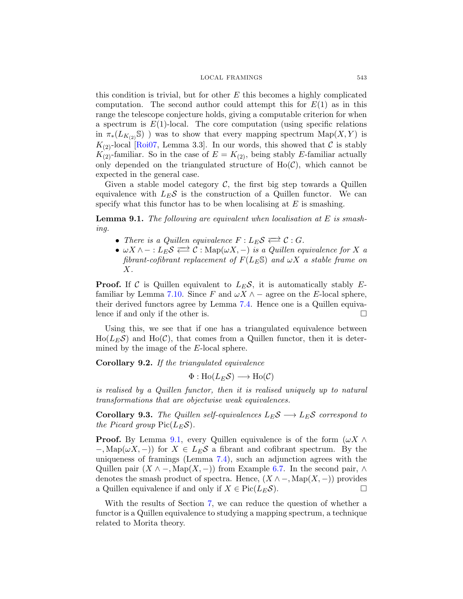#### LOCAL FRAMINGS 543

<span id="page-31-0"></span>this condition is trivial, but for other  $E$  this becomes a highly complicated computation. The second author could attempt this for  $E(1)$  as in this range the telescope conjecture holds, giving a computable criterion for when a spectrum is  $E(1)$ -local. The core computation (using specific relations in  $\pi_*(L_{K_{(2)}}\mathbb{S})$  ) was to show that every mapping spectrum  $\text{Map}(X, Y)$  is  $K_{(2)}$ -local [\[Roi07,](#page-38-0) Lemma 3.3]. In our words, this showed that C is stably  $K_{(2)}$ -familiar. So in the case of  $E = K_{(2)}$ , being stably E-familiar actually only depended on the triangulated structure of  $Ho(\mathcal{C})$ , which cannot be expected in the general case.

Given a stable model category  $C$ , the first big step towards a Quillen equivalence with  $L_E \mathcal{S}$  is the construction of a Quillen functor. We can specify what this functor has to be when localising at  $E$  is smashing.

Lemma 9.1. *The following are equivalent when localisation at* E *is smashing.*

- There is a Quillen equivalence  $F: L_E \mathcal{S} \rightleftarrows \mathcal{C}: G$ .
- $\omega X \wedge -: L_E \mathcal{S} \rightleftarrows \mathcal{C}: \mathrm{Map}(\omega X, -)$  *is a Quillen equivalence for* X *a fibrant-cofibrant replacement of*  $F(L_E S)$  *and*  $\omega X$  *a stable frame on* X*.*

**Proof.** If C is Quillen equivalent to  $L_E S$ , it is automatically stably E-familiar by Lemma [7.10.](#page-24-0) Since F and  $\omega X \wedge -$  agree on the E-local sphere, their derived functors agree by Lemma [7.4.](#page-20-0) Hence one is a Quillen equivalence if and only if the other is.

Using this, we see that if one has a triangulated equivalence between  $\text{Ho}(L_E\mathcal{S})$  and  $\text{Ho}(\mathcal{C})$ , that comes from a Quillen functor, then it is determined by the image of the E-local sphere.

Corollary 9.2. *If the triangulated equivalence*

 $\Phi: Ho(L_E\mathcal{S}) \longrightarrow Ho(\mathcal{C})$ 

*is realised by a Quillen functor, then it is realised uniquely up to natural transformations that are objectwise weak equivalences.*

**Corollary 9.3.** *The Quillen self-equivalences*  $L_E \mathcal{S} \longrightarrow L_E \mathcal{S}$  correspond to *the Picard group*  $Pic(L_E \mathcal{S})$ *.* 

**Proof.** By Lemma [9.1,](#page-30-0) every Quillen equivalence is of the form  $(\omega X \wedge$  $-$ , Map( $\omega X$ ,  $-$ )) for  $X \in L_E \mathcal{S}$  a fibrant and cofibrant spectrum. By the uniqueness of framings (Lemma [7.4\)](#page-20-0), such an adjunction agrees with the Quillen pair  $(X \wedge -, \text{Map}(X, -))$  from Example [6.7.](#page-18-0) In the second pair,  $\wedge$ denotes the smash product of spectra. Hence,  $(X \land \neg, \text{Map}(X, -))$  provides a Quillen equivalence if and only if  $X \in Pic(L_E \mathcal{S})$ .

With the results of Section [7,](#page-19-0) we can reduce the question of whether a functor is a Quillen equivalence to studying a mapping spectrum, a technique related to Morita theory.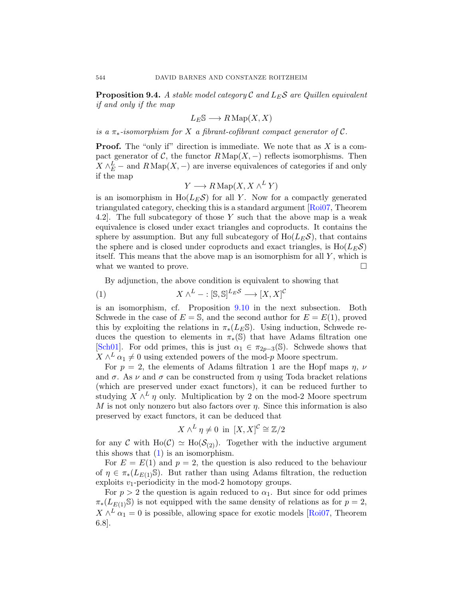<span id="page-32-0"></span>**Proposition 9.4.** A stable model category  $\mathcal{C}$  and  $L_E \mathcal{S}$  are Quillen equivalent *if and only if the map*

$$
L_E \mathbb{S} \longrightarrow R \operatorname{Map}(X, X)
$$

*is a* π∗*-isomorphism for* X *a fibrant-cofibrant compact generator of* C*.*

**Proof.** The "only if" direction is immediate. We note that as  $X$  is a compact generator of C, the functor  $R \text{Map}(X, -)$  reflects isomorphisms. Then  $X \wedge_E^L$  – and  $R \operatorname{Map}(X, -)$  are inverse equivalences of categories if and only if the map

$$
Y \longrightarrow R \operatorname{Map}(X, X \wedge^L Y)
$$

is an isomorphism in  $Ho(L<sub>E</sub>S)$  for all Y. Now for a compactly generated triangulated category, checking this is a standard argument [\[Roi07,](#page-38-0) Theorem 4.2]. The full subcategory of those Y such that the above map is a weak equivalence is closed under exact triangles and coproducts. It contains the sphere by assumption. But any full subcategory of  $Ho(L<sub>E</sub>S)$ , that contains the sphere and is closed under coproducts and exact triangles, is  $Ho(L<sub>E</sub>S)$ itself. This means that the above map is an isomorphism for all  $Y$ , which is what we wanted to prove.  $\Box$ 

By adjunction, the above condition is equivalent to showing that

(1) 
$$
X \wedge^L - :[\mathbb{S}, \mathbb{S}]^{L_E \mathcal{S}} \longrightarrow [X, X]^{\mathcal{C}}
$$

is an isomorphism, cf. Proposition [9.10](#page-35-0) in the next subsection. Both Schwede in the case of  $E = S$ , and the second author for  $E = E(1)$ , proved this by exploiting the relations in  $\pi_*(L_E\mathbb{S})$ . Using induction, Schwede reduces the question to elements in  $\pi_*(\mathbb{S})$  that have Adams filtration one [\[Sch01\]](#page-38-0). For odd primes, this is just  $\alpha_1 \in \pi_{2p-3}(\mathbb{S})$ . Schwede shows that  $X \wedge^L \alpha_1 \neq 0$  using extended powers of the mod-p Moore spectrum.

For  $p = 2$ , the elements of Adams filtration 1 are the Hopf maps  $\eta$ ,  $\nu$ and  $\sigma$ . As  $\nu$  and  $\sigma$  can be constructed from  $\eta$  using Toda bracket relations (which are preserved under exact functors), it can be reduced further to studying  $X \wedge^L \eta$  only. Multiplication by 2 on the mod-2 Moore spectrum  $M$  is not only nonzero but also factors over  $\eta$ . Since this information is also preserved by exact functors, it can be deduced that

$$
X \wedge^L \eta \neq 0 \text{ in } [X, X]^{\mathcal{C}} \cong \mathbb{Z}/2
$$

for any C with Ho(C)  $\simeq$  Ho( $\mathcal{S}_{(2)}$ ). Together with the inductive argument this shows that [\(1\)](#page-31-0) is an isomorphism.

For  $E = E(1)$  and  $p = 2$ , the question is also reduced to the behaviour of  $\eta \in \pi_*(L_{E(1)}\mathbb{S})$ . But rather than using Adams filtration, the reduction exploits  $v_1$ -periodicity in the mod-2 homotopy groups.

For  $p > 2$  the question is again reduced to  $\alpha_1$ . But since for odd primes  $\pi_*(L_{E(1)}\mathbb{S})$  is not equipped with the same density of relations as for  $p=2$ ,  $X \wedge^L \alpha_1 = 0$  is possible, allowing space for exotic models [\[Roi07,](#page-38-0) Theorem 6.8].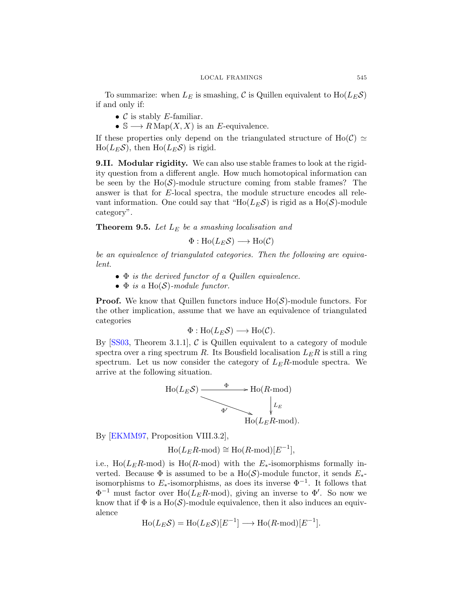<span id="page-33-0"></span>To summarize: when  $L_E$  is smashing, C is Quillen equivalent to  $Ho(L_E \mathcal{S})$ if and only if:

- $\mathcal C$  is stably *E*-familiar.
- $\mathbb{S} \longrightarrow R \operatorname{Map}(X, X)$  is an E-equivalence.

If these properties only depend on the triangulated structure of Ho( $\mathcal{C}$ )  $\simeq$  $Ho(L<sub>E</sub>S)$ , then  $Ho(L<sub>E</sub>S)$  is rigid.

9.II. Modular rigidity. We can also use stable frames to look at the rigidity question from a different angle. How much homotopical information can be seen by the  $Ho(\mathcal{S})$ -module structure coming from stable frames? The answer is that for E-local spectra, the module structure encodes all relevant information. One could say that "Ho( $L_E \mathcal{S}$ ) is rigid as a Ho( $\mathcal{S}$ )-module category".

Theorem 9.5. *Let* L<sup>E</sup> *be a smashing localisation and*

$$
\Phi: \text{Ho}(L_E \mathcal{S}) \longrightarrow \text{Ho}(\mathcal{C})
$$

*be an equivalence of triangulated categories. Then the following are equivalent.*

- Φ *is the derived functor of a Quillen equivalence.*
- $\bullet$   $\Phi$  *is a* Ho( $\mathcal{S}$ )-module functor.

**Proof.** We know that Quillen functors induce  $Ho(S)$ -module functors. For the other implication, assume that we have an equivalence of triangulated categories

$$
\Phi: \text{Ho}(L_E \mathcal{S}) \longrightarrow \text{Ho}(\mathcal{C}).
$$

By  $[SS03, Theorem 3.1.1],$  C is Quillen equivalent to a category of module spectra over a ring spectrum  $R$ . Its Bousfield localisation  $L_E R$  is still a ring spectrum. Let us now consider the category of  $L_E R$ -module spectra. We arrive at the following situation.



By [\[EKMM97,](#page-38-0) Proposition VIII.3.2],

$$
Ho(L_ER\text{-mod}) \cong Ho(R\text{-mod})[E^{-1}],
$$

i.e., Ho( $L_E R$ -mod) is Ho( $R$ -mod) with the  $E_*$ -isomorphisms formally inverted. Because  $\Phi$  is assumed to be a Ho(S)-module functor, it sends  $E_*$ isomorphisms to  $E_*$ -isomorphisms, as does its inverse  $\Phi^{-1}$ . It follows that  $\Phi^{-1}$  must factor over Ho( $L_E R$ -mod), giving an inverse to  $\Phi'$ . So now we know that if  $\Phi$  is a Ho(S)-module equivalence, then it also induces an equivalence

$$
\text{Ho}(L_E \mathcal{S}) = \text{Ho}(L_E \mathcal{S})[E^{-1}] \longrightarrow \text{Ho}(R\text{-mod})[E^{-1}].
$$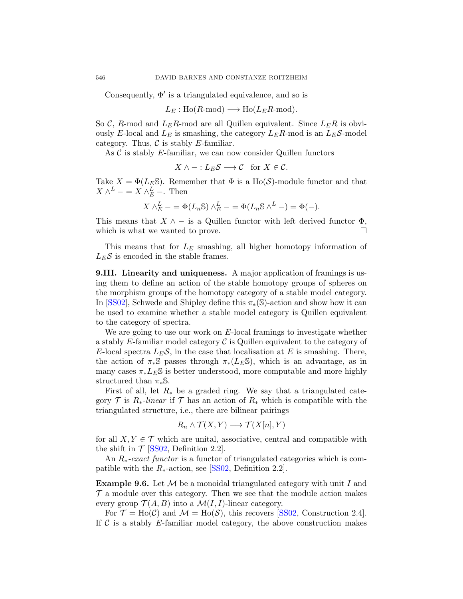<span id="page-34-0"></span>Consequently,  $\Phi'$  is a triangulated equivalence, and so is

$$
L_E: Ho(R\text{-mod}) \longrightarrow Ho(L_ER\text{-mod}).
$$

So C, R-mod and  $L_E R$ -mod are all Quillen equivalent. Since  $L_E R$  is obviously E-local and  $L_E$  is smashing, the category  $L_E R$ -mod is an  $L_E S$ -model category. Thus,  $\mathcal C$  is stably E-familiar.

As  $\mathcal C$  is stably E-familiar, we can now consider Quillen functors

$$
X \wedge - :L_E \mathcal{S} \longrightarrow \mathcal{C} \text{ for } X \in \mathcal{C}.
$$

Take  $X = \Phi(L_E \mathbb{S})$ . Remember that  $\Phi$  is a Ho(S)-module functor and that  $X \wedge^L - = X \wedge^L -$ . Then

$$
X \wedge_E^L - = \Phi(L_n \mathbb{S}) \wedge_E^L - = \Phi(L_n \mathbb{S} \wedge^L -) = \Phi(-).
$$

This means that  $X \wedge -$  is a Quillen functor with left derived functor  $\Phi$ , which is what we wanted to prove.  $\Box$ 

This means that for  $L<sub>E</sub>$  smashing, all higher homotopy information of  $L_E \mathcal{S}$  is encoded in the stable frames.

9.III. Linearity and uniqueness. A major application of framings is using them to define an action of the stable homotopy groups of spheres on the morphism groups of the homotopy category of a stable model category. In [\[SS02\]](#page-39-0), Schwede and Shipley define this  $\pi_*(\mathbb{S})$ -action and show how it can be used to examine whether a stable model category is Quillen equivalent to the category of spectra.

We are going to use our work on  $E$ -local framings to investigate whether a stably  $E$ -familiar model category  $\mathcal C$  is Quillen equivalent to the category of E-local spectra  $L_E \mathcal{S}$ , in the case that localisation at E is smashing. There, the action of  $\pi_*\mathbb{S}$  passes through  $\pi_*(L_E\mathbb{S})$ , which is an advantage, as in many cases  $\pi_* L_E \$  is better understood, more computable and more highly structured than  $\pi_*\mathbb{S}$ .

First of all, let  $R_*$  be a graded ring. We say that a triangulated category  $\mathcal T$  is  $R_*$ -linear if  $\mathcal T$  has an action of  $R_*$  which is compatible with the triangulated structure, i.e., there are bilinear pairings

$$
R_n \wedge \mathcal{T}(X,Y) \longrightarrow \mathcal{T}(X[n],Y)
$$

for all  $X, Y \in \mathcal{T}$  which are unital, associative, central and compatible with the shift in  $\mathcal{T}$  [\[SS02,](#page-39-0) Definition 2.2].

An R∗*-exact functor* is a functor of triangulated categories which is compatible with the  $R_{*}$ -action, see [\[SS02,](#page-39-0) Definition 2.2].

**Example 9.6.** Let  $M$  be a monoidal triangulated category with unit I and  $\mathcal T$  a module over this category. Then we see that the module action makes every group  $\mathcal{T}(A, B)$  into a  $\mathcal{M}(I, I)$ -linear category.

For  $\mathcal{T} = Ho(\mathcal{C})$  and  $\mathcal{M} = Ho(\mathcal{S})$ , this recovers [\[SS02,](#page-39-0) Construction 2.4]. If  $\mathcal C$  is a stably E-familiar model category, the above construction makes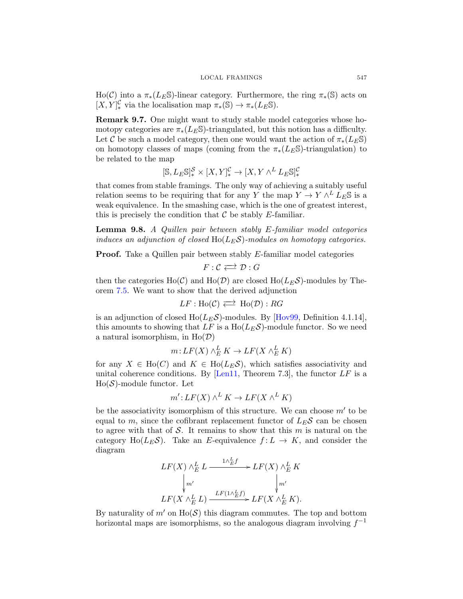<span id="page-35-0"></span>Ho(C) into a  $\pi_*(L_E\mathbb{S})$ -linear category. Furthermore, the ring  $\pi_*(\mathbb{S})$  acts on  $[X, Y]_*^{\mathcal{C}}$  via the localisation map  $\pi_*(\mathbb{S}) \to \pi_*(L_E \mathbb{S})$ .

Remark 9.7. One might want to study stable model categories whose homotopy categories are  $\pi_*(L_E\mathbb{S})$ -triangulated, but this notion has a difficulty. Let C be such a model category, then one would want the action of  $\pi_*(L_E\mathbb{S})$ on homotopy classes of maps (coming from the  $\pi_*(L_E\mathbb{S})$ -triangulation) to be related to the map

$$
[\mathbb{S},L_E\mathbb{S}]_*^{\mathcal{S}}\times [X,Y]_*^{\mathcal{C}}\to [X,Y\wedge^L L_E\mathbb{S}]_*^{\mathcal{C}}
$$

that comes from stable framings. The only way of achieving a suitably useful relation seems to be requiring that for any Y the map  $Y \to Y \wedge^L L_E \mathbb{S}$  is a weak equivalence. In the smashing case, which is the one of greatest interest, this is precisely the condition that  $\mathcal C$  be stably E-familiar.

Lemma 9.8. *A Quillen pair between stably* E*-familiar model categories induces an adjunction of closed* Ho(LES)*-modules on homotopy categories.*

Proof. Take a Quillen pair between stably E-familiar model categories

$$
F:\mathcal{C}\Longleftrightarrow \mathcal{D}:G
$$

then the categories Ho(C) and Ho(D) are closed Ho( $L_E\mathcal{S}$ )-modules by Theorem [7.5.](#page-20-0) We want to show that the derived adjunction

$$
LF: Ho(\mathcal{C}) \Longleftrightarrow Ho(\mathcal{D}): RG
$$

is an adjunction of closed  $Ho(L<sub>E</sub>S)$ -modules. By [\[Hov99,](#page-38-0) Definition 4.1.14], this amounts to showing that LF is a  $Ho(L<sub>E</sub>S)$ -module functor. So we need a natural isomorphism, in  $Ho(D)$ 

$$
m: LF(X) \wedge_E^L K \to LF(X \wedge_E^L K)
$$

for any  $X \in Ho(C)$  and  $K \in Ho(L_E\mathcal{S})$ , which satisfies associativity and unital coherence conditions. By  $[Len11, Theorem 7.3]$ , the functor  $LF$  is a  $Ho(S)$ -module functor. Let

$$
m': LF(X) \wedge^L K \to LF(X \wedge^L K)
$$

be the associativity isomorphism of this structure. We can choose  $m'$  to be equal to m, since the cofibrant replacement functor of  $L_E \mathcal{S}$  can be chosen to agree with that of  $S$ . It remains to show that this  $m$  is natural on the category Ho( $L_E \mathcal{S}$ ). Take an E-equivalence  $f: L \to K$ , and consider the diagram

$$
LF(X) \wedge_E^L L \xrightarrow{1 \wedge_E^L f} LF(X) \wedge_E^L K
$$
  
\n
$$
\downarrow m'
$$
  
\n
$$
LF(X \wedge_E^L L) \xrightarrow{LF(1 \wedge_E^L f)} LF(X \wedge_E^L K).
$$

By naturality of  $m'$  on  $H_0(\mathcal{S})$  this diagram commutes. The top and bottom horizontal maps are isomorphisms, so the analogous diagram involving  $f^{-1}$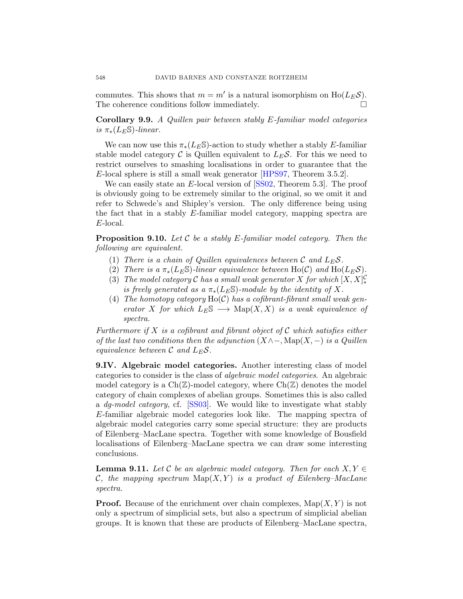<span id="page-36-0"></span>commutes. This shows that  $m = m'$  is a natural isomorphism on  $Ho(L_E \mathcal{S})$ . The coherence conditions follow immediately.

Corollary 9.9. *A Quillen pair between stably* E*-familiar model categories is*  $\pi_*(L_F\mathbb{S})$ *-linear.* 

We can now use this  $\pi_*(L_E\mathbb{S})$ -action to study whether a stably E-familiar stable model category C is Quillen equivalent to  $L_E S$ . For this we need to restrict ourselves to smashing localisations in order to guarantee that the E-local sphere is still a small weak generator [\[HPS97,](#page-38-0) Theorem 3.5.2].

We can easily state an E-local version of [\[SS02,](#page-39-0) Theorem 5.3]. The proof is obviously going to be extremely similar to the original, so we omit it and refer to Schwede's and Shipley's version. The only difference being using the fact that in a stably E-familiar model category, mapping spectra are E-local.

Proposition 9.10. *Let* C *be a stably* E*-familiar model category. Then the following are equivalent.*

- (1) *There is a chain of Quillen equivalences between*  $\mathcal{C}$  *and*  $L_E \mathcal{S}$ .
- (2) *There is a*  $\pi_*(L_E \mathbb{S})$ *-linear equivalence between* Ho(C) *and* Ho( $L_E \mathcal{S}$ )*.*
- (3) *The model category*  $\mathcal C$  *has a small weak generator*  $X$  *for which*  $[X, X]_*^{\mathcal C}$ *is freely generated as a*  $\pi_*(L_E\mathbb{S})$ -module by the identity of X.
- (4) *The homotopy category* Ho(C) *has a cofibrant-fibrant small weak generator* X *for which*  $L_E\mathbb{S} \longrightarrow \text{Map}(X,X)$  *is a weak equivalence of spectra.*

*Furthermore if* X *is a cofibrant and fibrant object of* C *which satisfies either of the last two conditions then the adjunction* (X∧−, Map(X, −) *is a Quillen equivalence between*  $\mathcal{C}$  *and*  $L_E \mathcal{S}$ *.* 

9.IV. Algebraic model categories. Another interesting class of model categories to consider is the class of *algebraic model categories*. An algebraic model category is a  $Ch(\mathbb{Z})$ -model category, where  $Ch(\mathbb{Z})$  denotes the model category of chain complexes of abelian groups. Sometimes this is also called a *dg-model category*, cf. [\[SS03\]](#page-39-0). We would like to investigate what stably E-familiar algebraic model categories look like. The mapping spectra of algebraic model categories carry some special structure: they are products of Eilenberg–MacLane spectra. Together with some knowledge of Bousfield localisations of Eilenberg–MacLane spectra we can draw some interesting conclusions.

**Lemma 9.11.** Let C be an algebraic model category. Then for each  $X, Y \in$  $\mathcal{C},$  the mapping spectrum  $\text{Map}(X, Y)$  is a product of Eilenberg–MacLane *spectra.*

**Proof.** Because of the enrichment over chain complexes,  $\text{Map}(X, Y)$  is not only a spectrum of simplicial sets, but also a spectrum of simplicial abelian groups. It is known that these are products of Eilenberg–MacLane spectra,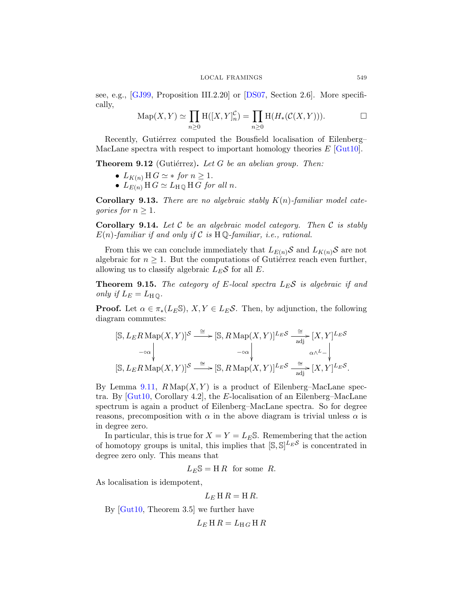<span id="page-37-0"></span>see, e.g., [\[GJ99,](#page-38-0) Proposition III.2.20] or [DS07, Section 2.6]. More specifically,

$$
\mathrm{Map}(X,Y) \simeq \prod_{n \geq 0} \mathrm{H}([X,Y]_n^{\mathcal{C}}) = \prod_{n \geq 0} \mathrm{H}(H_*(\mathcal{C}(X,Y))). \square
$$

Recently, Gutiérrez computed the Bousfield localisation of Eilenberg– MacLane spectra with respect to important homology theories  $E$  [\[Gut10\]](#page-38-0).

**Theorem 9.12** (Gutiérrez). Let G be an abelian group. Then:

- $L_{K(n)}$  H  $G \simeq *$  *for*  $n \geq 1$ *.*
- $L_{E(n)} \amalg G \simeq L_{\text{H}\mathbb{Q}} \amalg G$  *for all n.*

Corollary 9.13. *There are no algebraic stably* K(n)*-familiar model categories for*  $n \geq 1$ *.* 

Corollary 9.14. *Let* C *be an algebraic model category. Then* C *is stably*  $E(n)$ -familiar if and only if C is  $H \mathbb{Q}$ -familiar, *i.e.*, rational.

From this we can conclude immediately that  $L_{E(n)}S$  and  $L_{K(n)}S$  are not algebraic for  $n \geq 1$ . But the computations of Gutiérrez reach even further, allowing us to classify algebraic  $L_E \mathcal{S}$  for all E.

**Theorem 9.15.** *The category of E-local spectra*  $L_E S$  *is algebraic if and only if*  $L_E = L_{H\,\mathbb{O}}$ .

**Proof.** Let  $\alpha \in \pi_*(L_E \mathbb{S}), X, Y \in L_E \mathcal{S}$ . Then, by adjunction, the following diagram commutes:

$$
[\mathbb{S}, L_E R \operatorname{Map}(X, Y)]^{\mathcal{S}} \xrightarrow{\cong} [\mathbb{S}, R \operatorname{Map}(X, Y)]^{L_E \mathcal{S}} \xrightarrow[\text{adj}]{\cong} [X, Y]^{L_E \mathcal{S}} \\ -\circ \alpha \downarrow \qquad \qquad \downarrow \qquad \qquad \alpha \wedge^L - \downarrow \qquad \qquad \alpha \wedge^L - \downarrow \qquad \qquad \downarrow \qquad \qquad \text{as } L_E R \operatorname{Map}(X, Y)]^{\mathcal{S}} \xrightarrow[\text{adj}]{\cong} [\mathbb{S}, R \operatorname{Map}(X, Y)]^{L_E \mathcal{S}} \xrightarrow[\text{adj}]{\cong} [X, Y]^{L_E \mathcal{S}}.
$$

By Lemma [9.11,](#page-35-0)  $R \text{Map}(X, Y)$  is a product of Eilenberg–MacLane spectra. By [\[Gut10,](#page-38-0) Corollary 4.2], the E-localisation of an Eilenberg–MacLane spectrum is again a product of Eilenberg–MacLane spectra. So for degree reasons, precomposition with  $\alpha$  in the above diagram is trivial unless  $\alpha$  is in degree zero.

In particular, this is true for  $X = Y = L_E \mathbb{S}$ . Remembering that the action of homotopy groups is unital, this implies that  $[\mathbb{S}, \mathbb{S}]^{L_E \mathcal{S}}$  is concentrated in degree zero only. This means that

 $L_E$ S = H R for some R.

As localisation is idempotent,

$$
L_E \amalg R = \amalg R.
$$

By [\[Gut10,](#page-38-0) Theorem 3.5] we further have

 $L_E$ H  $R = L_{H}$  G H  $R$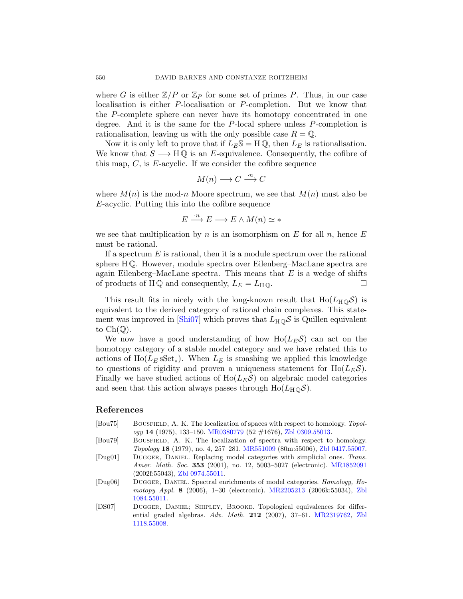<span id="page-38-0"></span>where G is either  $\mathbb{Z}/P$  or  $\mathbb{Z}_P$  for some set of primes P. Thus, in our case localisation is either P-localisation or P-completion. But we know that the P-complete sphere can never have its homotopy concentrated in one degree. And it is the same for the  $P$ -local sphere unless  $P$ -completion is rationalisation, leaving us with the only possible case  $R = \mathbb{Q}$ .

Now it is only left to prove that if  $L_E \mathbb{S} = \mathbb{H} \mathbb{Q}$ , then  $L_E$  is rationalisation. We know that  $S \longrightarrow H\mathbb{Q}$  is an E-equivalence. Consequently, the cofibre of this map,  $C$ , is E-acyclic. If we consider the cofibre sequence

$$
M(n) \longrightarrow C \xrightarrow{\cdot n} C
$$

where  $M(n)$  is the mod-n Moore spectrum, we see that  $M(n)$  must also be E-acyclic. Putting this into the cofibre sequence

$$
E \xrightarrow{\cdot n} E \longrightarrow E \wedge M(n) \simeq *
$$

we see that multiplication by n is an isomorphism on E for all  $n$ , hence E must be rational.

If a spectrum  $E$  is rational, then it is a module spectrum over the rational sphere H Q. However, module spectra over Eilenberg–MacLane spectra are again Eilenberg–MacLane spectra. This means that  $E$  is a wedge of shifts of products of HQ and consequently,  $L_E = L_H \mathbb{Q}$ .

This result fits in nicely with the long-known result that  $Ho(L_{H\Omega}S)$  is equivalent to the derived category of rational chain complexes. This state-ment was improved in [\[Shi07\]](#page-39-0) which proves that  $L_H \_\mathbb{Q}$  is Quillen equivalent to  $Ch(\mathbb{O})$ .

We now have a good understanding of how  $Ho(L<sub>E</sub>S)$  can act on the homotopy category of a stable model category and we have related this to actions of Ho( $L<sub>E</sub>$  sSet<sub>\*</sub>). When  $L<sub>E</sub>$  is smashing we applied this knowledge to questions of rigidity and proven a uniqueness statement for  $Ho(L<sub>E</sub>S)$ . Finally we have studied actions of  $Ho(L<sub>E</sub>S)$  on algebraic model categories and seen that this action always passes through  $Ho(L_H \odot S)$ .

#### References

- [Bou75] BOUSFIELD, A. K. The localization of spaces with respect to homology. Topology 14 (1975), 133–150. [MR0380779](http://www.ams.org/mathscinet-getitem?mr=0380779) (52 #1676), [Zbl 0309.55013.](http://www.emis.de/cgi-bin/MATH-item?0309.55013)
- [Bou79] Bousfield, A. K. The localization of spectra with respect to homology. Topology 18 (1979), no. 4, 257–281. [MR551009](http://www.ams.org/mathscinet-getitem?mr=551009) (80m:55006), [Zbl 0417.55007.](http://www.emis.de/cgi-bin/MATH-item?0417.55007)
- [Dug01] DUGGER, DANIEL. Replacing model categories with simplicial ones. Trans. Amer. Math. Soc. 353 (2001), no. 12, 5003–5027 (electronic). [MR1852091](http://www.ams.org/mathscinet-getitem?mr=1852091) (2002f:55043), [Zbl 0974.55011.](http://www.emis.de/cgi-bin/MATH-item?0974.55011)
- [Dug06] DUGGER, DANIEL. Spectral enrichments of model categories. Homology, Homotopy Appl. 8 (2006), 1–30 (electronic). [MR2205213](http://www.ams.org/mathscinet-getitem?mr=2205213) (2006k:55034), [Zbl](http://www.emis.de/cgi-bin/MATH-item?1084.55011) [1084.55011.](http://www.emis.de/cgi-bin/MATH-item?1084.55011)
- [DS07] Dugger, Daniel; Shipley, Brooke. Topological equivalences for differential graded algebras. Adv. Math. 212 (2007), 37–61. [MR2319762,](http://www.ams.org/mathscinet-getitem?mr=2319762) [Zbl](http://www.emis.de/cgi-bin/MATH-item?1118.55008) [1118.55008.](http://www.emis.de/cgi-bin/MATH-item?1118.55008)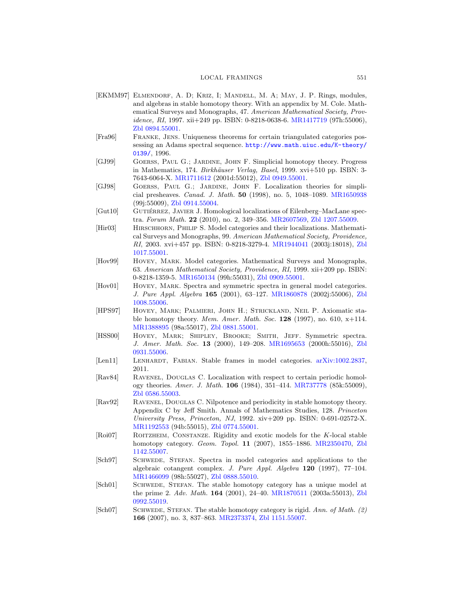#### LOCAL FRAMINGS 551

- <span id="page-39-0"></span>[EKMM97] Elmendorf, A. D; Kriz, I; Mandell, M. A; May, J. P. Rings, modules, and algebras in stable homotopy theory. With an appendix by M. Cole. Mathematical Surveys and Monographs, 47. American Mathematical Society, Prov-idence, RI, 1997. xii+249 pp. ISBN: 0-8218-0638-6. [MR1417719](http://www.ams.org/mathscinet-getitem?mr=1417719) (97h:55006), [Zbl 0894.55001.](http://www.emis.de/cgi-bin/MATH-item?0894.55001)
- [Fra96] Franke, Jens. Uniqueness theorems for certain triangulated categories possessing an Adams spectral sequence. [http://www.math.uiuc.edu/K-theory/](http://www.math.uiuc.edu/K-theory/0139/) [0139/](http://www.math.uiuc.edu/K-theory/0139/), 1996.
- [GJ99] Goerss, Paul G.; Jardine, John F. Simplicial homotopy theory. Progress in Mathematics, 174. Birkhäuser Verlag, Basel, 1999. xvi+510 pp. ISBN: 3-7643-6064-X. [MR1711612](http://www.ams.org/mathscinet-getitem?mr=1711612) (2001d:55012), [Zbl 0949.55001.](http://www.emis.de/cgi-bin/MATH-item?0949.55001)
- [GJ98] Goerss, Paul G.; Jardine, John F. Localization theories for simplicial presheaves. Canad. J. Math. 50 (1998), no. 5, 1048–1089. [MR1650938](http://www.ams.org/mathscinet-getitem?mr=1650938) (99j:55009), [Zbl 0914.55004.](http://www.emis.de/cgi-bin/MATH-item?0914.55004)
- [Gut10] GUTIÉRREZ, JAVIER J. Homological localizations of Eilenberg–MacLane spectra. Forum Math. 22 (2010), no. 2, 349–356. [MR2607569,](http://www.ams.org/mathscinet-getitem?mr=2607569) [Zbl 1207.55009.](http://www.emis.de/cgi-bin/MATH-item?1207.55009)
- [Hir03] Hirschhorn, Philip S. Model categories and their localizations. Mathematical Surveys and Monographs, 99. American Mathematical Society, Providence, RI, 2003. xvi+457 pp. ISBN: 0-8218-3279-4. [MR1944041](http://www.ams.org/mathscinet-getitem?mr=1944041) (2003j:18018), [Zbl](http://www.emis.de/cgi-bin/MATH-item?1017.55001) [1017.55001.](http://www.emis.de/cgi-bin/MATH-item?1017.55001)
- [Hov99] HOVEY, MARK. Model categories. Mathematical Surveys and Monographs, 63. American Mathematical Society, Providence, RI, 1999. xii+209 pp. ISBN: 0-8218-1359-5. [MR1650134](http://www.ams.org/mathscinet-getitem?mr=1650134) (99h:55031), [Zbl 0909.55001.](http://www.emis.de/cgi-bin/MATH-item?0909.55001)
- [Hov01] HOVEY, MARK. Spectra and symmetric spectra in general model categories. J. Pure Appl. Algebra 165 (2001), 63–127. [MR1860878](http://www.ams.org/mathscinet-getitem?mr=1860878) (2002j:55006), [Zbl](http://www.emis.de/cgi-bin/MATH-item?1008.55006) [1008.55006.](http://www.emis.de/cgi-bin/MATH-item?1008.55006)
- [HPS97] Hovey, Mark; Palmieri, John H.; Strickland, Neil P. Axiomatic stable homotopy theory. Mem. Amer. Math. Soc. 128 (1997), no. 610,  $x+114$ . [MR1388895](http://www.ams.org/mathscinet-getitem?mr=1388895) (98a:55017), [Zbl 0881.55001.](http://www.emis.de/cgi-bin/MATH-item?0881.55001)
- [HSS00] Hovey, Mark; Shipley, Brooke; Smith, Jeff. Symmetric spectra. J. Amer. Math. Soc. 13 (2000), 149–208. [MR1695653](http://www.ams.org/mathscinet-getitem?mr=1695653) (2000h:55016), [Zbl](http://www.emis.de/cgi-bin/MATH-item?0931.55006) [0931.55006.](http://www.emis.de/cgi-bin/MATH-item?0931.55006)
- [Len11] LENHARDT, FABIAN. Stable frames in model categories. [arXiv:1002.2837,](http://arXiv.org/abs/1002.2837) 2011.
- [Rav84] Ravenel, Douglas C. Localization with respect to certain periodic homology theories. Amer. J. Math. 106 (1984), 351–414. [MR737778](http://www.ams.org/mathscinet-getitem?mr=737778) (85k:55009), [Zbl 0586.55003.](http://www.emis.de/cgi-bin/MATH-item?0586.55003)
- [Rav92] Ravenel, Douglas C. Nilpotence and periodicity in stable homotopy theory. Appendix C by Jeff Smith. Annals of Mathematics Studies, 128. Princeton University Press, Princeton, NJ, 1992. xiv+209 pp. ISBN: 0-691-02572-X. [MR1192553](http://www.ams.org/mathscinet-getitem?mr=1192553) (94b:55015), [Zbl 0774.55001.](http://www.emis.de/cgi-bin/MATH-item?0774.55001)
- [Roi07] Roitzheim, Constanze. Rigidity and exotic models for the K-local stable homotopy category. Geom. Topol. 11 (2007), 1855–1886. [MR2350470,](http://www.ams.org/mathscinet-getitem?mr=2350470) [Zbl](http://www.emis.de/cgi-bin/MATH-item?1142.55007) [1142.55007.](http://www.emis.de/cgi-bin/MATH-item?1142.55007)
- [Sch97] SCHWEDE, STEFAN. Spectra in model categories and applications to the algebraic cotangent complex. J. Pure Appl. Algebra 120 (1997), 77–104. [MR1466099](http://www.ams.org/mathscinet-getitem?mr=1466099) (98h:55027), [Zbl 0888.55010.](http://www.emis.de/cgi-bin/MATH-item?0888.55010)
- [Sch01] SCHWEDE, STEFAN. The stable homotopy category has a unique model at the prime 2. Adv. Math. 164 (2001), 24–40. [MR1870511](http://www.ams.org/mathscinet-getitem?mr=1870511) (2003a:55013), [Zbl](http://www.emis.de/cgi-bin/MATH-item?0992.55019) [0992.55019.](http://www.emis.de/cgi-bin/MATH-item?0992.55019)
- [Sch07] SCHWEDE, STEFAN. The stable homotopy category is rigid. Ann. of Math. (2) 166 (2007), no. 3, 837–863. [MR2373374,](http://www.ams.org/mathscinet-getitem?mr=2373374) [Zbl 1151.55007.](http://www.emis.de/cgi-bin/MATH-item?1151.55007)